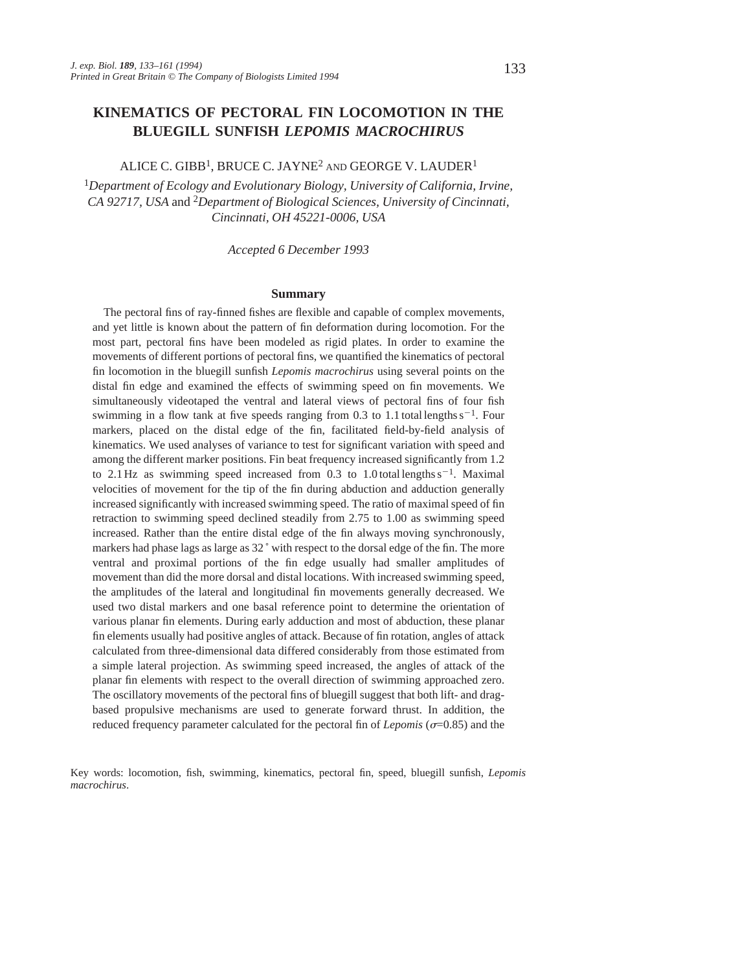# **KINEMATICS OF PECTORAL FIN LOCOMOTION IN THE BLUEGILL SUNFISH** *LEPOMIS MACROCHIRUS*

# ALICE C. GIBB1, BRUCE C. JAYNE2 AND GEORGE V. LAUDER<sup>1</sup>

<sup>1</sup>*Department of Ecology and Evolutionary Biology, University of California, Irvine, CA 92717, USA* and 2*Department of Biological Sciences, University of Cincinnati, Cincinnati, OH 45221-0006, USA*

*Accepted 6 December 1993*

#### **Summary**

The pectoral fins of ray-finned fishes are flexible and capable of complex movements, and yet little is known about the pattern of fin deformation during locomotion. For the most part, pectoral fins have been modeled as rigid plates. In order to examine the movements of different portions of pectoral fins, we quantified the kinematics of pectoral fin locomotion in the bluegill sunfish *Lepomis macrochirus* using several points on the distal fin edge and examined the effects of swimming speed on fin movements. We simultaneously videotaped the ventral and lateral views of pectoral fins of four fish swimming in a flow tank at five speeds ranging from 0.3 to 1.1 total lengths  $s^{-1}$ . Four markers, placed on the distal edge of the fin, facilitated field-by-field analysis of kinematics. We used analyses of variance to test for significant variation with speed and among the different marker positions. Fin beat frequency increased significantly from 1.2 to 2.1 Hz as swimming speed increased from 0.3 to 1.0 total lengths  $s^{-1}$ . Maximal velocities of movement for the tip of the fin during abduction and adduction generally increased significantly with increased swimming speed. The ratio of maximal speed of fin retraction to swimming speed declined steadily from 2.75 to 1.00 as swimming speed increased. Rather than the entire distal edge of the fin always moving synchronously, markers had phase lags as large as 32 ˚ with respect to the dorsal edge of the fin. The more ventral and proximal portions of the fin edge usually had smaller amplitudes of movement than did the more dorsal and distal locations. With increased swimming speed, the amplitudes of the lateral and longitudinal fin movements generally decreased. We used two distal markers and one basal reference point to determine the orientation of various planar fin elements. During early adduction and most of abduction, these planar fin elements usually had positive angles of attack. Because of fin rotation, angles of attack calculated from three-dimensional data differed considerably from those estimated from a simple lateral projection. As swimming speed increased, the angles of attack of the planar fin elements with respect to the overall direction of swimming approached zero. The oscillatory movements of the pectoral fins of bluegill suggest that both lift- and dragbased propulsive mechanisms are used to generate forward thrust. In addition, the reduced frequency parameter calculated for the pectoral fin of *Lepomis* ( $\sigma$ =0.85) and the

Key words: locomotion, fish, swimming, kinematics, pectoral fin, speed, bluegill sunfish, *Lepomis macrochirus*.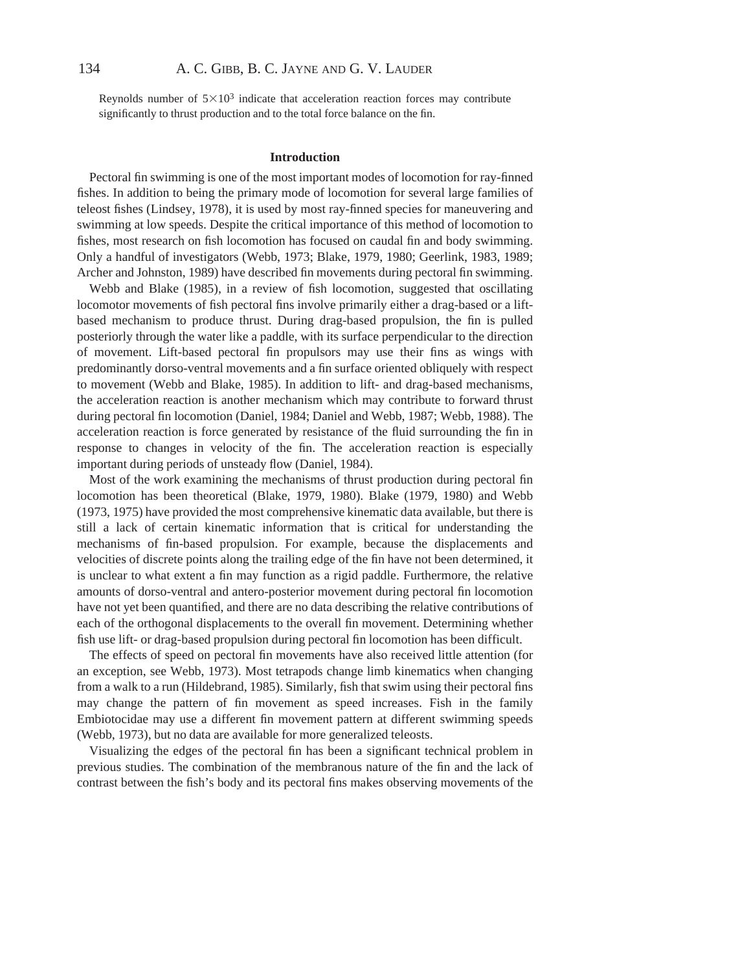Reynolds number of  $5\times10^3$  indicate that acceleration reaction forces may contribute significantly to thrust production and to the total force balance on the fin.

### **Introduction**

Pectoral fin swimming is one of the most important modes of locomotion for ray-finned fishes. In addition to being the primary mode of locomotion for several large families of teleost fishes (Lindsey, 1978), it is used by most ray-finned species for maneuvering and swimming at low speeds. Despite the critical importance of this method of locomotion to fishes, most research on fish locomotion has focused on caudal fin and body swimming. Only a handful of investigators (Webb, 1973; Blake, 1979, 1980; Geerlink, 1983, 1989; Archer and Johnston, 1989) have described fin movements during pectoral fin swimming.

Webb and Blake (1985), in a review of fish locomotion, suggested that oscillating locomotor movements of fish pectoral fins involve primarily either a drag-based or a liftbased mechanism to produce thrust. During drag-based propulsion, the fin is pulled posteriorly through the water like a paddle, with its surface perpendicular to the direction of movement. Lift-based pectoral fin propulsors may use their fins as wings with predominantly dorso-ventral movements and a fin surface oriented obliquely with respect to movement (Webb and Blake, 1985). In addition to lift- and drag-based mechanisms, the acceleration reaction is another mechanism which may contribute to forward thrust during pectoral fin locomotion (Daniel, 1984; Daniel and Webb, 1987; Webb, 1988). The acceleration reaction is force generated by resistance of the fluid surrounding the fin in response to changes in velocity of the fin. The acceleration reaction is especially important during periods of unsteady flow (Daniel, 1984).

Most of the work examining the mechanisms of thrust production during pectoral fin locomotion has been theoretical (Blake, 1979, 1980). Blake (1979, 1980) and Webb (1973, 1975) have provided the most comprehensive kinematic data available, but there is still a lack of certain kinematic information that is critical for understanding the mechanisms of fin-based propulsion. For example, because the displacements and velocities of discrete points along the trailing edge of the fin have not been determined, it is unclear to what extent a fin may function as a rigid paddle. Furthermore, the relative amounts of dorso-ventral and antero-posterior movement during pectoral fin locomotion have not yet been quantified, and there are no data describing the relative contributions of each of the orthogonal displacements to the overall fin movement. Determining whether fish use lift- or drag-based propulsion during pectoral fin locomotion has been difficult.

The effects of speed on pectoral fin movements have also received little attention (for an exception, see Webb, 1973). Most tetrapods change limb kinematics when changing from a walk to a run (Hildebrand, 1985). Similarly, fish that swim using their pectoral fins may change the pattern of fin movement as speed increases. Fish in the family Embiotocidae may use a different fin movement pattern at different swimming speeds (Webb, 1973), but no data are available for more generalized teleosts.

Visualizing the edges of the pectoral fin has been a significant technical problem in previous studies. The combination of the membranous nature of the fin and the lack of contrast between the fish's body and its pectoral fins makes observing movements of the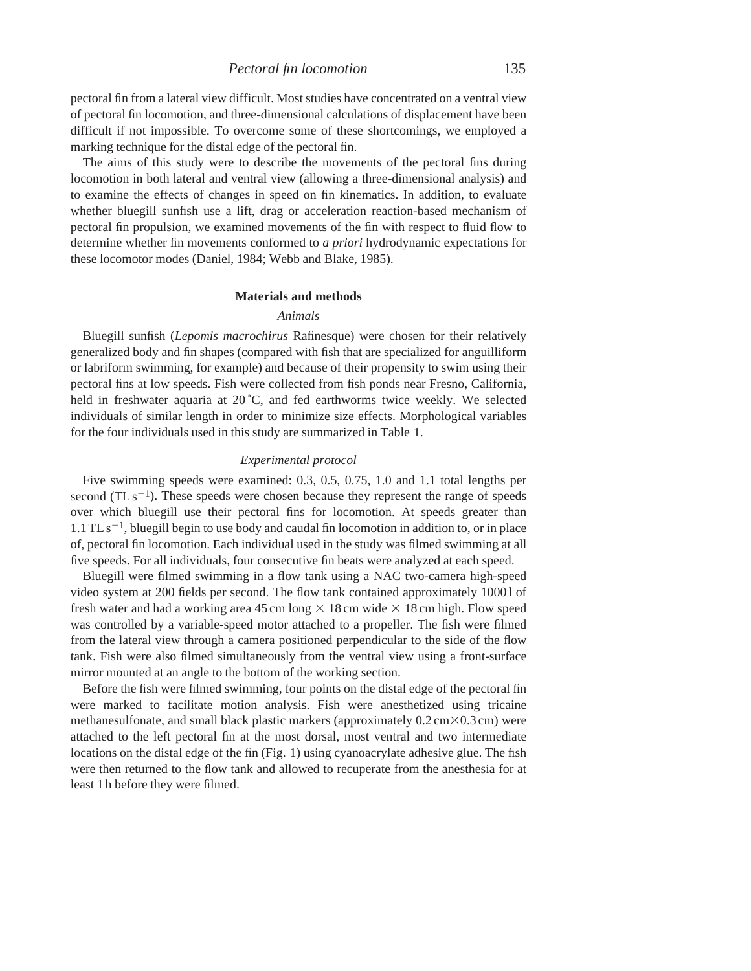pectoral fin from a lateral view difficult. Most studies have concentrated on a ventral view of pectoral fin locomotion, and three-dimensional calculations of displacement have been difficult if not impossible. To overcome some of these shortcomings, we employed a marking technique for the distal edge of the pectoral fin.

The aims of this study were to describe the movements of the pectoral fins during locomotion in both lateral and ventral view (allowing a three-dimensional analysis) and to examine the effects of changes in speed on fin kinematics. In addition, to evaluate whether bluegill sunfish use a lift, drag or acceleration reaction-based mechanism of pectoral fin propulsion, we examined movements of the fin with respect to fluid flow to determine whether fin movements conformed to *a priori* hydrodynamic expectations for these locomotor modes (Daniel, 1984; Webb and Blake, 1985).

### **Materials and methods**

### *Animals*

Bluegill sunfish (*Lepomis macrochirus* Rafinesque) were chosen for their relatively generalized body and fin shapes (compared with fish that are specialized for anguilliform or labriform swimming, for example) and because of their propensity to swim using their pectoral fins at low speeds. Fish were collected from fish ponds near Fresno, California, held in freshwater aquaria at 20 °C, and fed earthworms twice weekly. We selected individuals of similar length in order to minimize size effects. Morphological variables for the four individuals used in this study are summarized in Table 1.

# *Experimental protocol*

Five swimming speeds were examined: 0.3, 0.5, 0.75, 1.0 and 1.1 total lengths per second ( $TL s^{-1}$ ). These speeds were chosen because they represent the range of speeds over which bluegill use their pectoral fins for locomotion. At speeds greater than  $1.1$  TL s<sup>-1</sup>, bluegill begin to use body and caudal fin locomotion in addition to, or in place of, pectoral fin locomotion. Each individual used in the study was filmed swimming at all five speeds. For all individuals, four consecutive fin beats were analyzed at each speed.

Bluegill were filmed swimming in a flow tank using a NAC two-camera high-speed video system at 200 fields per second. The flow tank contained approximately 1000 l of fresh water and had a working area 45 cm long  $\times$  18 cm wide  $\times$  18 cm high. Flow speed was controlled by a variable-speed motor attached to a propeller. The fish were filmed from the lateral view through a camera positioned perpendicular to the side of the flow tank. Fish were also filmed simultaneously from the ventral view using a front-surface mirror mounted at an angle to the bottom of the working section.

Before the fish were filmed swimming, four points on the distal edge of the pectoral fin were marked to facilitate motion analysis. Fish were anesthetized using tricaine methanesulfonate, and small black plastic markers (approximately  $0.2 \text{ cm} \times 0.3 \text{ cm}$ ) were attached to the left pectoral fin at the most dorsal, most ventral and two intermediate locations on the distal edge of the fin (Fig. 1) using cyanoacrylate adhesive glue. The fish were then returned to the flow tank and allowed to recuperate from the anesthesia for at least 1 h before they were filmed.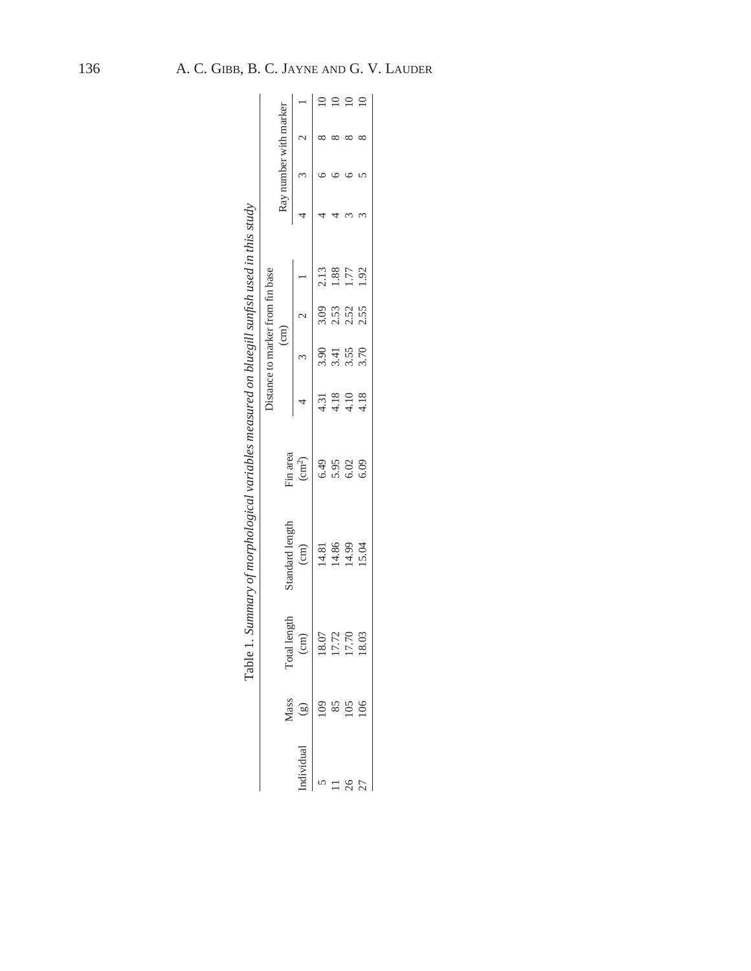|                 |                     |                 |                            |                                                                                  | Distance to marker from fin base |                  |                                             |                        |             |
|-----------------|---------------------|-----------------|----------------------------|----------------------------------------------------------------------------------|----------------------------------|------------------|---------------------------------------------|------------------------|-------------|
| Mass            | <b>Total</b> length | Standard length | Fin area                   |                                                                                  | $\binom{cm}{ }$                  |                  |                                             | Ray number with marker |             |
|                 | $\binom{m}{n}$      | $\binom{cm}{ }$ | $\left(\text{cm}^2\right)$ |                                                                                  | 3 <sup>2</sup>                   |                  |                                             |                        |             |
|                 | 18.07               | 14.81           |                            |                                                                                  | 3.90                             | 3.09             |                                             |                        |             |
|                 |                     | 14.86<br>14.99  |                            |                                                                                  |                                  |                  | $\begin{array}{c} 2.13 \\ 1.88 \end{array}$ |                        |             |
| $\overline{05}$ | 17.72               |                 | 6.49<br>5.95<br>6.03       | $4.\overline{31}$<br>$4.\overline{18}$<br>$4.\overline{18}$<br>$4.\overline{18}$ | $3.55$<br>$3.50$                 | $2.53$<br>$2.52$ | 1.77                                        |                        | $\supseteq$ |
|                 | 18.03               | 15.04           |                            |                                                                                  |                                  | 2.55             | 1.92                                        |                        | $\subseteq$ |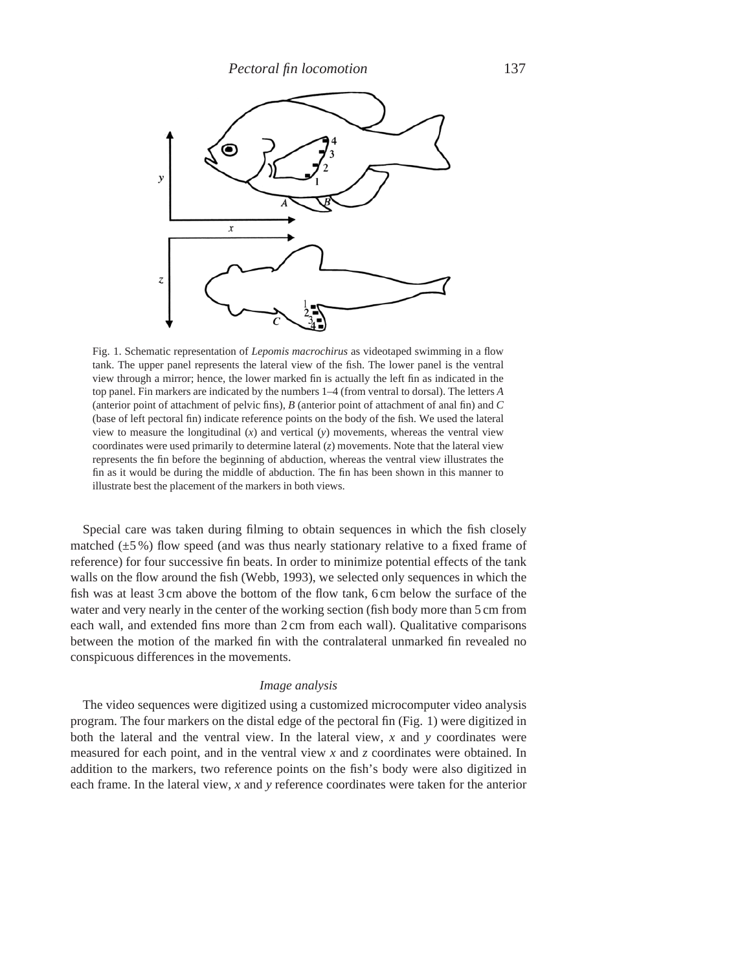

Fig. 1. Schematic representation of *Lepomis macrochirus* as videotaped swimming in a flow tank. The upper panel represents the lateral view of the fish. The lower panel is the ventral view through a mirror; hence, the lower marked fin is actually the left fin as indicated in the top panel. Fin markers are indicated by the numbers 1–4 (from ventral to dorsal). The letters *A* (anterior point of attachment of pelvic fins), *B* (anterior point of attachment of anal fin) and *C* (base of left pectoral fin) indicate reference points on the body of the fish. We used the lateral view to measure the longitudinal  $(x)$  and vertical  $(y)$  movements, whereas the ventral view coordinates were used primarily to determine lateral (*z*) movements. Note that the lateral view represents the fin before the beginning of abduction, whereas the ventral view illustrates the fin as it would be during the middle of abduction. The fin has been shown in this manner to illustrate best the placement of the markers in both views.

Special care was taken during filming to obtain sequences in which the fish closely matched  $(\pm 5\%)$  flow speed (and was thus nearly stationary relative to a fixed frame of reference) for four successive fin beats. In order to minimize potential effects of the tank walls on the flow around the fish (Webb, 1993), we selected only sequences in which the fish was at least 3 cm above the bottom of the flow tank, 6 cm below the surface of the water and very nearly in the center of the working section (fish body more than 5 cm from each wall, and extended fins more than 2 cm from each wall). Qualitative comparisons between the motion of the marked fin with the contralateral unmarked fin revealed no conspicuous differences in the movements.

# *Image analysis*

The video sequences were digitized using a customized microcomputer video analysis program. The four markers on the distal edge of the pectoral fin (Fig. 1) were digitized in both the lateral and the ventral view. In the lateral view, *x* and *y* coordinates were measured for each point, and in the ventral view *x* and *z* coordinates were obtained. In addition to the markers, two reference points on the fish's body were also digitized in each frame. In the lateral view, *x* and *y* reference coordinates were taken for the anterior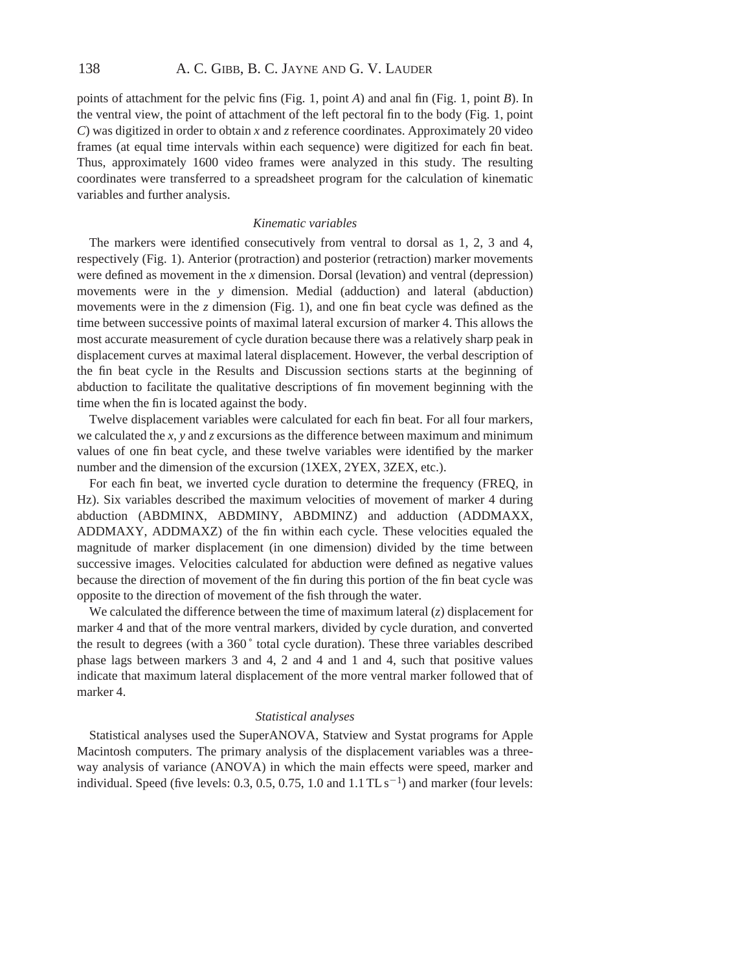points of attachment for the pelvic fins (Fig. 1, point *A*) and anal fin (Fig. 1, point *B*). In the ventral view, the point of attachment of the left pectoral fin to the body (Fig. 1, point *C*) was digitized in order to obtain *x* and *z* reference coordinates. Approximately 20 video frames (at equal time intervals within each sequence) were digitized for each fin beat. Thus, approximately 1600 video frames were analyzed in this study. The resulting coordinates were transferred to a spreadsheet program for the calculation of kinematic variables and further analysis.

### *Kinematic variables*

The markers were identified consecutively from ventral to dorsal as 1, 2, 3 and 4, respectively (Fig. 1). Anterior (protraction) and posterior (retraction) marker movements were defined as movement in the *x* dimension. Dorsal (levation) and ventral (depression) movements were in the *y* dimension. Medial (adduction) and lateral (abduction) movements were in the *z* dimension (Fig. 1), and one fin beat cycle was defined as the time between successive points of maximal lateral excursion of marker 4. This allows the most accurate measurement of cycle duration because there was a relatively sharp peak in displacement curves at maximal lateral displacement. However, the verbal description of the fin beat cycle in the Results and Discussion sections starts at the beginning of abduction to facilitate the qualitative descriptions of fin movement beginning with the time when the fin is located against the body.

Twelve displacement variables were calculated for each fin beat. For all four markers, we calculated the  $x$ ,  $y$  and  $z$  excursions as the difference between maximum and minimum values of one fin beat cycle, and these twelve variables were identified by the marker number and the dimension of the excursion (1XEX, 2YEX, 3ZEX, etc.).

For each fin beat, we inverted cycle duration to determine the frequency (FREQ, in Hz). Six variables described the maximum velocities of movement of marker 4 during abduction (ABDMINX, ABDMINY, ABDMINZ) and adduction (ADDMAXX, ADDMAXY, ADDMAXZ) of the fin within each cycle. These velocities equaled the magnitude of marker displacement (in one dimension) divided by the time between successive images. Velocities calculated for abduction were defined as negative values because the direction of movement of the fin during this portion of the fin beat cycle was opposite to the direction of movement of the fish through the water.

We calculated the difference between the time of maximum lateral (*z*) displacement for marker 4 and that of the more ventral markers, divided by cycle duration, and converted the result to degrees (with a 360 ˚ total cycle duration). These three variables described phase lags between markers 3 and 4, 2 and 4 and 1 and 4, such that positive values indicate that maximum lateral displacement of the more ventral marker followed that of marker 4.

### *Statistical analyses*

Statistical analyses used the SuperANOVA, Statview and Systat programs for Apple Macintosh computers. The primary analysis of the displacement variables was a threeway analysis of variance (ANOVA) in which the main effects were speed, marker and individual. Speed (five levels:  $0.3$ ,  $0.5$ ,  $0.75$ ,  $1.0$  and  $1.1$  TL s<sup>-1</sup>) and marker (four levels: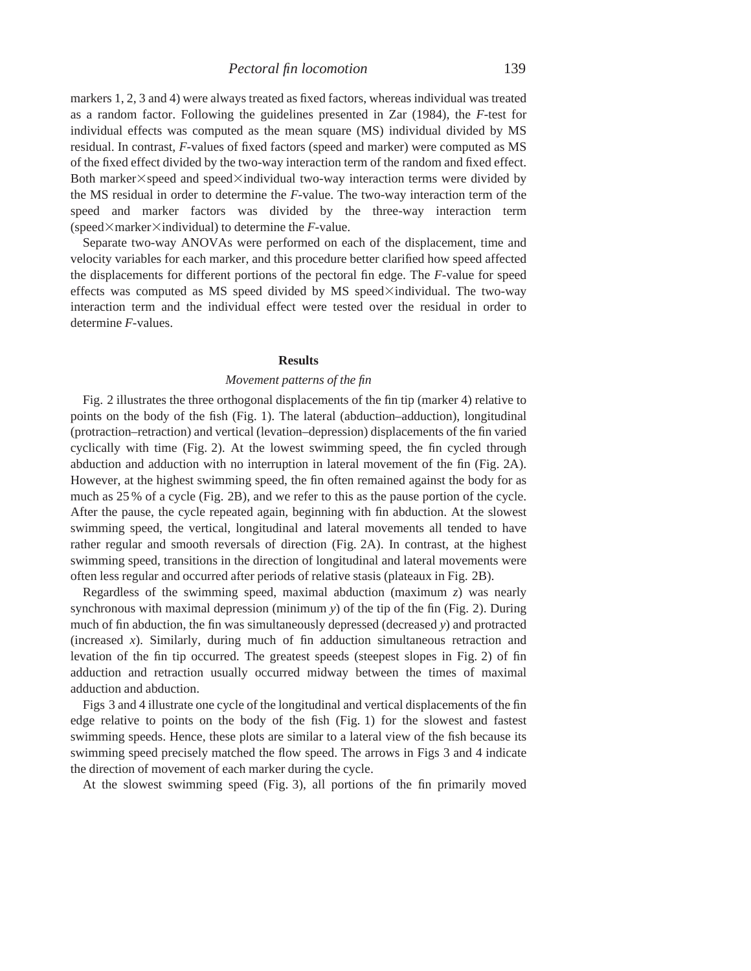markers 1, 2, 3 and 4) were always treated as fixed factors, whereas individual was treated as a random factor. Following the guidelines presented in Zar (1984), the *F*-test for individual effects was computed as the mean square (MS) individual divided by MS residual. In contrast, *F*-values of fixed factors (speed and marker) were computed as MS of the fixed effect divided by the two-way interaction term of the random and fixed effect. Both marker $\times$ speed and speed $\times$ individual two-way interaction terms were divided by the MS residual in order to determine the *F*-value. The two-way interaction term of the speed and marker factors was divided by the three-way interaction term (speed $\times$ marker $\times$ individual) to determine the *F*-value.

Separate two-way ANOVAs were performed on each of the displacement, time and velocity variables for each marker, and this procedure better clarified how speed affected the displacements for different portions of the pectoral fin edge. The *F*-value for speed effects was computed as MS speed divided by MS speed $\times$ individual. The two-way interaction term and the individual effect were tested over the residual in order to determine *F*-values.

### **Results**

#### *Movement patterns of the fin*

Fig. 2 illustrates the three orthogonal displacements of the fin tip (marker 4) relative to points on the body of the fish (Fig. 1). The lateral (abduction–adduction), longitudinal (protraction–retraction) and vertical (levation–depression) displacements of the fin varied cyclically with time (Fig. 2). At the lowest swimming speed, the fin cycled through abduction and adduction with no interruption in lateral movement of the fin (Fig. 2A). However, at the highest swimming speed, the fin often remained against the body for as much as 25 % of a cycle (Fig. 2B), and we refer to this as the pause portion of the cycle. After the pause, the cycle repeated again, beginning with fin abduction. At the slowest swimming speed, the vertical, longitudinal and lateral movements all tended to have rather regular and smooth reversals of direction (Fig. 2A). In contrast, at the highest swimming speed, transitions in the direction of longitudinal and lateral movements were often less regular and occurred after periods of relative stasis (plateaux in Fig. 2B).

Regardless of the swimming speed, maximal abduction (maximum *z*) was nearly synchronous with maximal depression (minimum *y*) of the tip of the fin (Fig. 2). During much of fin abduction, the fin was simultaneously depressed (decreased *y*) and protracted (increased *x*). Similarly, during much of fin adduction simultaneous retraction and levation of the fin tip occurred. The greatest speeds (steepest slopes in Fig. 2) of fin adduction and retraction usually occurred midway between the times of maximal adduction and abduction.

Figs 3 and 4 illustrate one cycle of the longitudinal and vertical displacements of the fin edge relative to points on the body of the fish (Fig. 1) for the slowest and fastest swimming speeds. Hence, these plots are similar to a lateral view of the fish because its swimming speed precisely matched the flow speed. The arrows in Figs 3 and 4 indicate the direction of movement of each marker during the cycle.

At the slowest swimming speed (Fig. 3), all portions of the fin primarily moved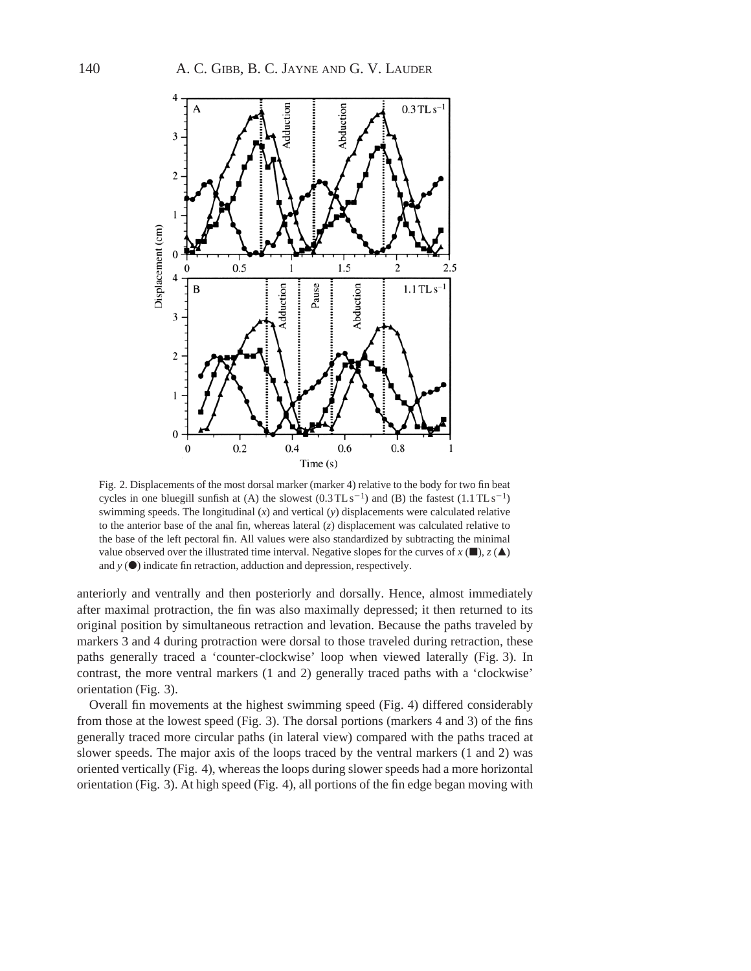

Fig. 2. Displacements of the most dorsal marker (marker 4) relative to the body for two fin beat cycles in one bluegill sunfish at (A) the slowest  $(0.3 \text{TL s}^{-1})$  and (B) the fastest  $(1.1 \text{TL s}^{-1})$ swimming speeds. The longitudinal (*x*) and vertical (*y*) displacements were calculated relative to the anterior base of the anal fin, whereas lateral (*z*) displacement was calculated relative to the base of the left pectoral fin. All values were also standardized by subtracting the minimal value observed over the illustrated time interval. Negative slopes for the curves of  $x(\blacksquare)$ ,  $z(\blacktriangle)$ and  $y(\bullet)$  indicate fin retraction, adduction and depression, respectively.

anteriorly and ventrally and then posteriorly and dorsally. Hence, almost immediately after maximal protraction, the fin was also maximally depressed; it then returned to its original position by simultaneous retraction and levation. Because the paths traveled by markers 3 and 4 during protraction were dorsal to those traveled during retraction, these paths generally traced a 'counter-clockwise' loop when viewed laterally (Fig. 3). In contrast, the more ventral markers (1 and 2) generally traced paths with a 'clockwise' orientation (Fig. 3).

Overall fin movements at the highest swimming speed (Fig. 4) differed considerably from those at the lowest speed (Fig. 3). The dorsal portions (markers 4 and 3) of the fins generally traced more circular paths (in lateral view) compared with the paths traced at slower speeds. The major axis of the loops traced by the ventral markers (1 and 2) was oriented vertically (Fig. 4), whereas the loops during slower speeds had a more horizontal orientation (Fig. 3). At high speed (Fig. 4), all portions of the fin edge began moving with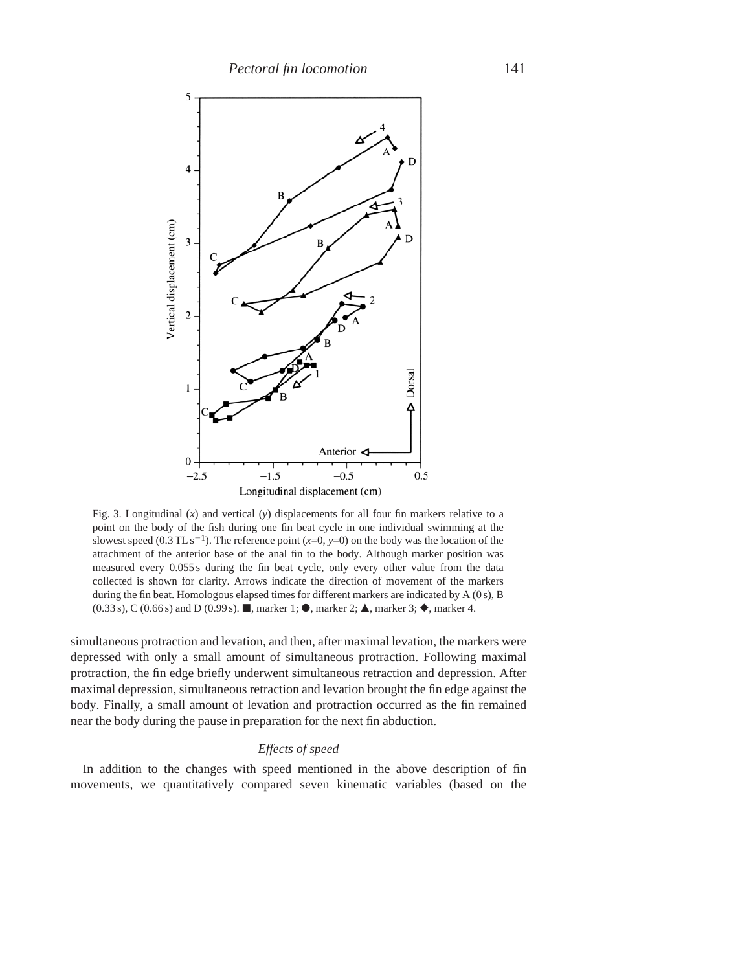

Fig. 3. Longitudinal (*x*) and vertical (*y*) displacements for all four fin markers relative to a point on the body of the fish during one fin beat cycle in one individual swimming at the slowest speed (0.3 TL s<sup>-1</sup>). The reference point  $(x=0, y=0)$  on the body was the location of the attachment of the anterior base of the anal fin to the body. Although marker position was measured every 0.055 s during the fin beat cycle, only every other value from the data collected is shown for clarity. Arrows indicate the direction of movement of the markers during the fin beat. Homologous elapsed times for different markers are indicated by A (0 s), B  $(0.33 \text{ s})$ , C  $(0.66 \text{ s})$  and D  $(0.99 \text{ s})$ .  $\blacksquare$ , marker 1;  $\lozenge$ , marker 2;  $\blacktriangle$ , marker 3;  $\lozenge$ , marker 4.

simultaneous protraction and levation, and then, after maximal levation, the markers were depressed with only a small amount of simultaneous protraction. Following maximal protraction, the fin edge briefly underwent simultaneous retraction and depression. After maximal depression, simultaneous retraction and levation brought the fin edge against the body. Finally, a small amount of levation and protraction occurred as the fin remained near the body during the pause in preparation for the next fin abduction.

# *Effects of speed*

In addition to the changes with speed mentioned in the above description of fin movements, we quantitatively compared seven kinematic variables (based on the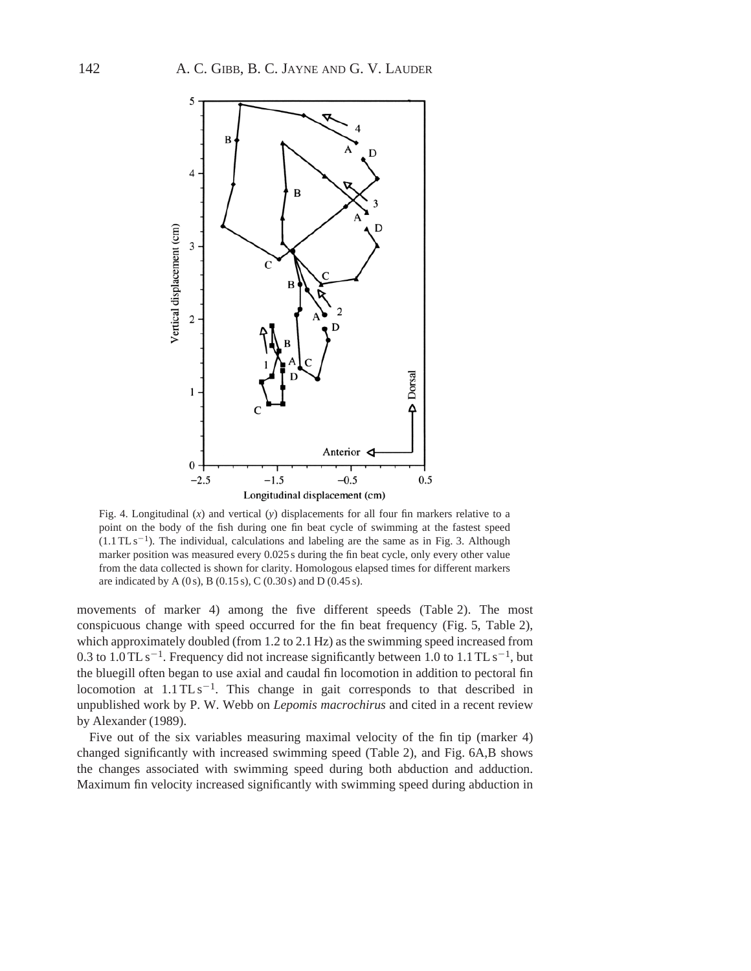

Fig. 4. Longitudinal (*x*) and vertical (*y*) displacements for all four fin markers relative to a point on the body of the fish during one fin beat cycle of swimming at the fastest speed  $(1.1 \, \text{T} \, \text{L} \, \text{s}^{-1})$ . The individual, calculations and labeling are the same as in Fig. 3. Although marker position was measured every 0.025 s during the fin beat cycle, only every other value from the data collected is shown for clarity. Homologous elapsed times for different markers are indicated by A (0 s), B (0.15 s), C (0.30 s) and D (0.45 s).

movements of marker 4) among the five different speeds (Table 2). The most conspicuous change with speed occurred for the fin beat frequency (Fig. 5, Table 2), which approximately doubled (from 1.2 to 2.1 Hz) as the swimming speed increased from 0.3 to  $1.0$  TL s<sup>-1</sup>. Frequency did not increase significantly between 1.0 to 1.1 TL s<sup>-1</sup>, but the bluegill often began to use axial and caudal fin locomotion in addition to pectoral fin locomotion at  $1.1 \text{TLs}^{-1}$ . This change in gait corresponds to that described in unpublished work by P. W. Webb on *Lepomis macrochirus* and cited in a recent review by Alexander (1989).

Five out of the six variables measuring maximal velocity of the fin tip (marker 4) changed significantly with increased swimming speed (Table 2), and Fig. 6A,B shows the changes associated with swimming speed during both abduction and adduction. Maximum fin velocity increased significantly with swimming speed during abduction in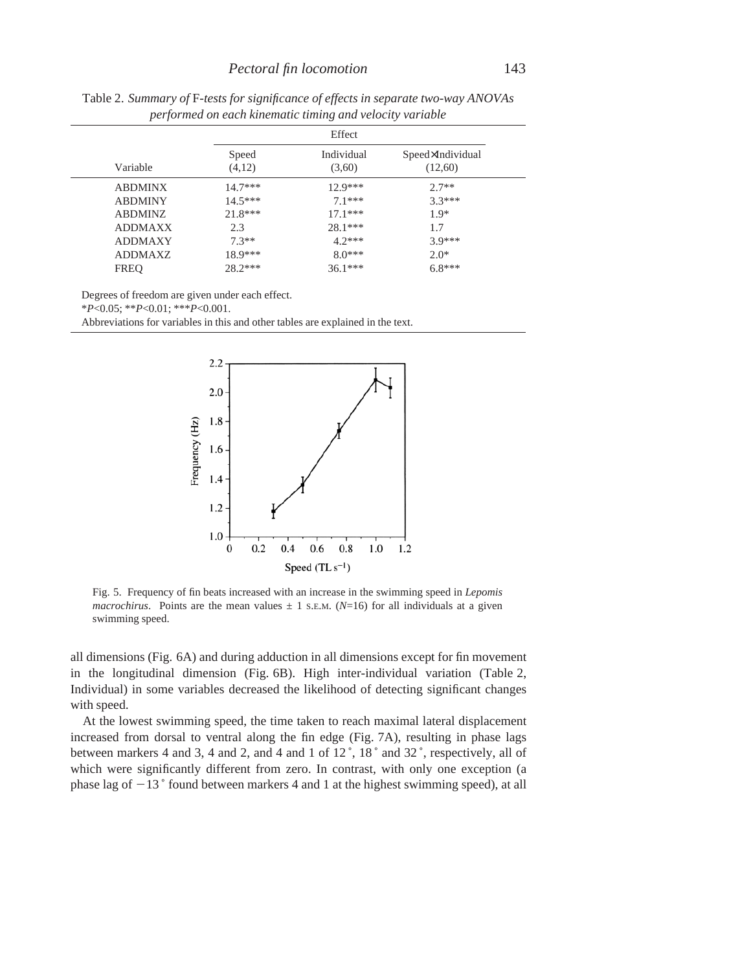|                |                 | Effect               |                             |
|----------------|-----------------|----------------------|-----------------------------|
| Variable       | Speed<br>(4,12) | Individual<br>(3,60) | Speed×Individual<br>(12,60) |
| <b>ABDMINX</b> | $14.7***$       | $12.9***$            | $2.7**$                     |
| <b>ABDMINY</b> | $14.5***$       | $71***$              | $3.3***$                    |
| <b>ABDMINZ</b> | $21.8***$       | $17.1***$            | $1.9*$                      |
| <b>ADDMAXX</b> | 2.3             | $28.1***$            | 1.7                         |
| <b>ADDMAXY</b> | $7.3**$         | $4.2***$             | $3.9***$                    |
| ADDMAXZ        | $18.9***$       | $80***$              | $2.0*$                      |
| <b>FREQ</b>    | $28.2***$       | $36.1***$            | $6.8***$                    |

Table 2. *Summary of* F*-tests for significance of effects in separate two-way ANOVAs performed on each kinematic timing and velocity variable*

Degrees of freedom are given under each effect.

\**P*<0.05; \*\**P*<0.01; \*\*\**P*<0.001.

Abbreviations for variables in this and other tables are explained in the text.



Fig. 5. Frequency of fin beats increased with an increase in the swimming speed in *Lepomis macrochirus*. Points are the mean values  $\pm$  1 S.E.M. (*N*=16) for all individuals at a given swimming speed.

all dimensions (Fig. 6A) and during adduction in all dimensions except for fin movement in the longitudinal dimension (Fig. 6B). High inter-individual variation (Table 2, Individual) in some variables decreased the likelihood of detecting significant changes with speed.

At the lowest swimming speed, the time taken to reach maximal lateral displacement increased from dorsal to ventral along the fin edge (Fig. 7A), resulting in phase lags between markers 4 and 3, 4 and 2, and 4 and 1 of 12 ˚, 18 ˚ and 32 ˚, respectively, all of which were significantly different from zero. In contrast, with only one exception (a phase lag of  $-13$   $\degree$  found between markers 4 and 1 at the highest swimming speed), at all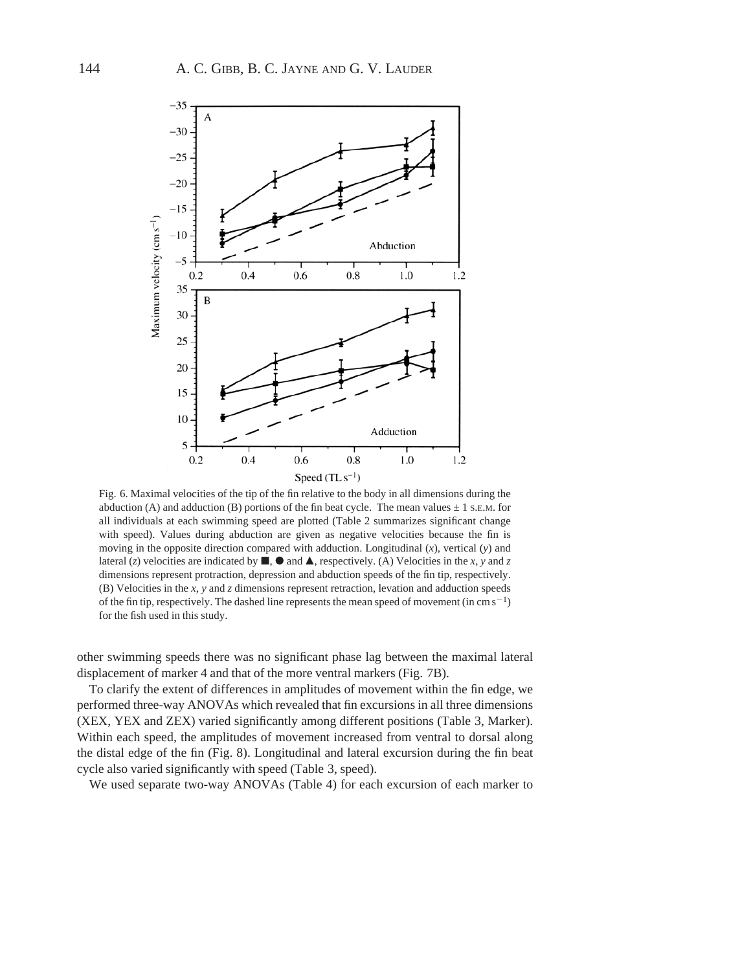

Fig. 6. Maximal velocities of the tip of the fin relative to the body in all dimensions during the abduction (A) and adduction (B) portions of the fin beat cycle. The mean values  $\pm$  1 s.E.M. for all individuals at each swimming speed are plotted (Table 2 summarizes significant change with speed). Values during abduction are given as negative velocities because the fin is moving in the opposite direction compared with adduction. Longitudinal (*x*), vertical (*y*) and lateral (*z*) velocities are indicated by  $\blacksquare$ ,  $\blacksquare$  and  $\blacktriangle$ , respectively. (A) Velocities in the *x*, *y* and *z* dimensions represent protraction, depression and abduction speeds of the fin tip, respectively. (B) Velocities in the *x*, *y* and *z* dimensions represent retraction, levation and adduction speeds of the fin tip, respectively. The dashed line represents the mean speed of movement (in cm  $s^{-1}$ ) for the fish used in this study.

other swimming speeds there was no significant phase lag between the maximal lateral displacement of marker 4 and that of the more ventral markers (Fig. 7B).

To clarify the extent of differences in amplitudes of movement within the fin edge, we performed three-way ANOVAs which revealed that fin excursions in all three dimensions (XEX, YEX and ZEX) varied significantly among different positions (Table 3, Marker). Within each speed, the amplitudes of movement increased from ventral to dorsal along the distal edge of the fin (Fig. 8). Longitudinal and lateral excursion during the fin beat cycle also varied significantly with speed (Table 3, speed).

We used separate two-way ANOVAs (Table 4) for each excursion of each marker to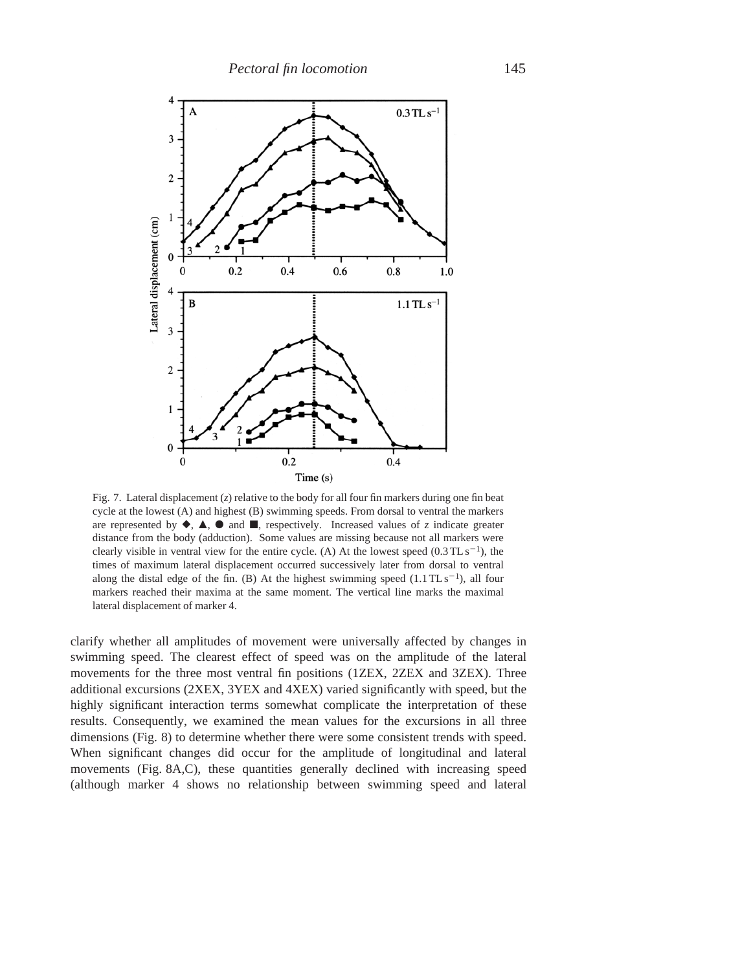

Fig. 7. Lateral displacement  $(z)$  relative to the body for all four fin markers during one fin beat cycle at the lowest (A) and highest (B) swimming speeds. From dorsal to ventral the markers are represented by  $\blacklozenge$ ,  $\blacktriangle$ ,  $\blacklozenge$  and  $\blacksquare$ , respectively. Increased values of *z* indicate greater distance from the body (adduction). Some values are missing because not all markers were clearly visible in ventral view for the entire cycle. (A) At the lowest speed  $(0.3 \text{TL s}^{-1})$ , the times of maximum lateral displacement occurred successively later from dorsal to ventral along the distal edge of the fin. (B) At the highest swimming speed  $(1.1 \text{ T} \text{L s}^{-1})$ , all four markers reached their maxima at the same moment. The vertical line marks the maximal lateral displacement of marker 4.

clarify whether all amplitudes of movement were universally affected by changes in swimming speed. The clearest effect of speed was on the amplitude of the lateral movements for the three most ventral fin positions (1ZEX, 2ZEX and 3ZEX). Three additional excursions (2XEX, 3YEX and 4XEX) varied significantly with speed, but the highly significant interaction terms somewhat complicate the interpretation of these results. Consequently, we examined the mean values for the excursions in all three dimensions (Fig. 8) to determine whether there were some consistent trends with speed. When significant changes did occur for the amplitude of longitudinal and lateral movements (Fig. 8A,C), these quantities generally declined with increasing speed (although marker 4 shows no relationship between swimming speed and lateral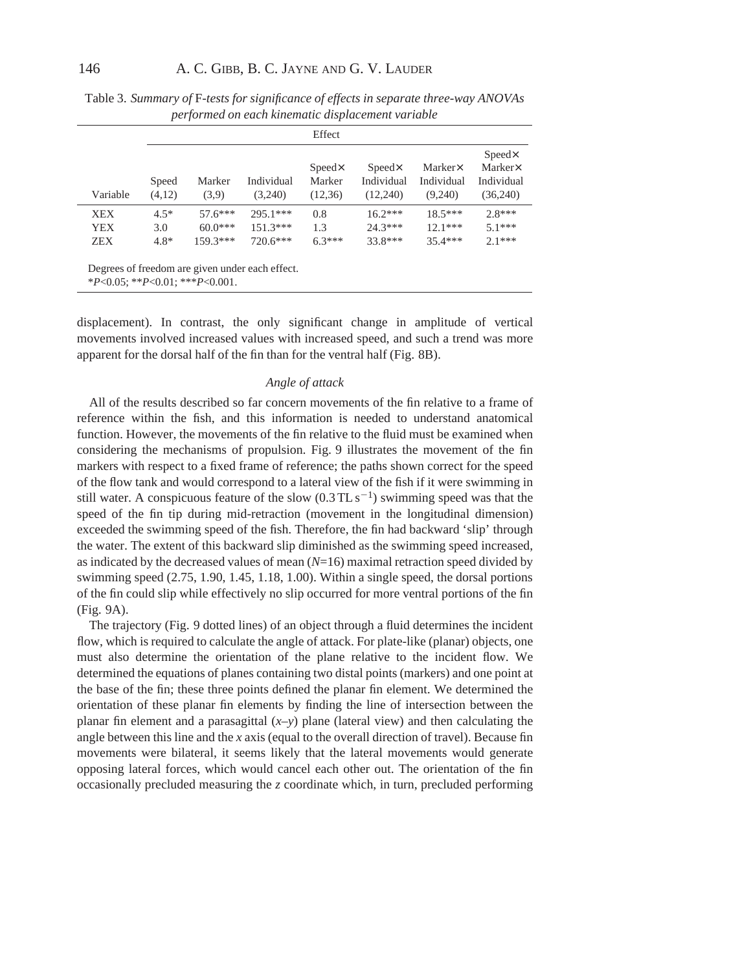|            |                 |                 |                                                 | Effect                              |                                          |                                  |                                                              |
|------------|-----------------|-----------------|-------------------------------------------------|-------------------------------------|------------------------------------------|----------------------------------|--------------------------------------------------------------|
| Variable   | Speed<br>(4,12) | Marker<br>(3,9) | Individual<br>(3,240)                           | $Speed \times$<br>Marker<br>(12,36) | $Speed \times$<br>Individual<br>(12,240) | Marker×<br>Individual<br>(9,240) | $Speed \times$<br>$Marker\!\times$<br>Individual<br>(36,240) |
| <b>XEX</b> | $4.5*$          | $57.6***$       | $295.1***$                                      | 0.8                                 | $16.2***$                                | $18.5***$                        | $2.8***$                                                     |
| <b>YEX</b> | 3.0             | $60.0***$       | $151.3***$                                      | 1.3                                 | $24.3***$                                | $12.1***$                        | $51***$                                                      |
| ZEX.       | $4.8*$          | $159.3***$      | $720.6***$                                      | $6.3***$                            | 33.8***                                  | $35.4***$                        | $2.1***$                                                     |
|            |                 |                 | Degrees of freedom are given under each effect. |                                     |                                          |                                  |                                                              |

Table 3. *Summary of* F*-tests for significance of effects in separate three-way ANOVAs performed on each kinematic displacement variable*

\**P*<0.05; \*\**P*<0.01; \*\*\**P*<0.001.

displacement). In contrast, the only significant change in amplitude of vertical movements involved increased values with increased speed, and such a trend was more apparent for the dorsal half of the fin than for the ventral half (Fig. 8B).

### *Angle of attack*

All of the results described so far concern movements of the fin relative to a frame of reference within the fish, and this information is needed to understand anatomical function. However, the movements of the fin relative to the fluid must be examined when considering the mechanisms of propulsion. Fig. 9 illustrates the movement of the fin markers with respect to a fixed frame of reference; the paths shown correct for the speed of the flow tank and would correspond to a lateral view of the fish if it were swimming in still water. A conspicuous feature of the slow  $(0.3 \text{TL s}^{-1})$  swimming speed was that the speed of the fin tip during mid-retraction (movement in the longitudinal dimension) exceeded the swimming speed of the fish. Therefore, the fin had backward 'slip' through the water. The extent of this backward slip diminished as the swimming speed increased, as indicated by the decreased values of mean (*N*=16) maximal retraction speed divided by swimming speed (2.75, 1.90, 1.45, 1.18, 1.00). Within a single speed, the dorsal portions of the fin could slip while effectively no slip occurred for more ventral portions of the fin (Fig. 9A).

The trajectory (Fig. 9 dotted lines) of an object through a fluid determines the incident flow, which is required to calculate the angle of attack. For plate-like (planar) objects, one must also determine the orientation of the plane relative to the incident flow. We determined the equations of planes containing two distal points (markers) and one point at the base of the fin; these three points defined the planar fin element. We determined the orientation of these planar fin elements by finding the line of intersection between the planar fin element and a parasagittal (*x*–*y*) plane (lateral view) and then calculating the angle between this line and the *x* axis (equal to the overall direction of travel). Because fin movements were bilateral, it seems likely that the lateral movements would generate opposing lateral forces, which would cancel each other out. The orientation of the fin occasionally precluded measuring the *z* coordinate which, in turn, precluded performing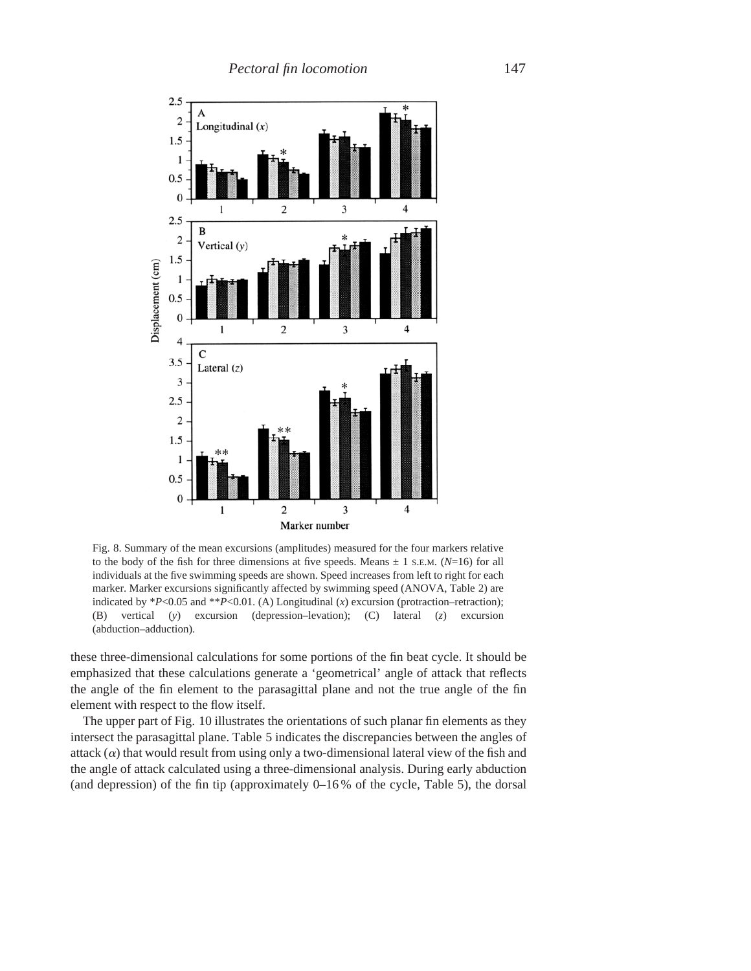

Fig. 8. Summary of the mean excursions (amplitudes) measured for the four markers relative to the body of the fish for three dimensions at five speeds. Means  $\pm$  1 s.E.M. (*N*=16) for all individuals at the five swimming speeds are shown. Speed increases from left to right for each marker. Marker excursions significantly affected by swimming speed (ANOVA, Table 2) are indicated by \**P*<0.05 and \*\**P*<0.01. (A) Longitudinal (*x*) excursion (protraction–retraction); (B) vertical (*y*) excursion (depression–levation); (C) lateral (*z*) excursion (abduction–adduction).

these three-dimensional calculations for some portions of the fin beat cycle. It should be emphasized that these calculations generate a 'geometrical' angle of attack that reflects the angle of the fin element to the parasagittal plane and not the true angle of the fin element with respect to the flow itself.

The upper part of Fig. 10 illustrates the orientations of such planar fin elements as they intersect the parasagittal plane. Table 5 indicates the discrepancies between the angles of attack  $(\alpha)$  that would result from using only a two-dimensional lateral view of the fish and the angle of attack calculated using a three-dimensional analysis. During early abduction (and depression) of the fin tip (approximately  $0-16\%$  of the cycle, Table 5), the dorsal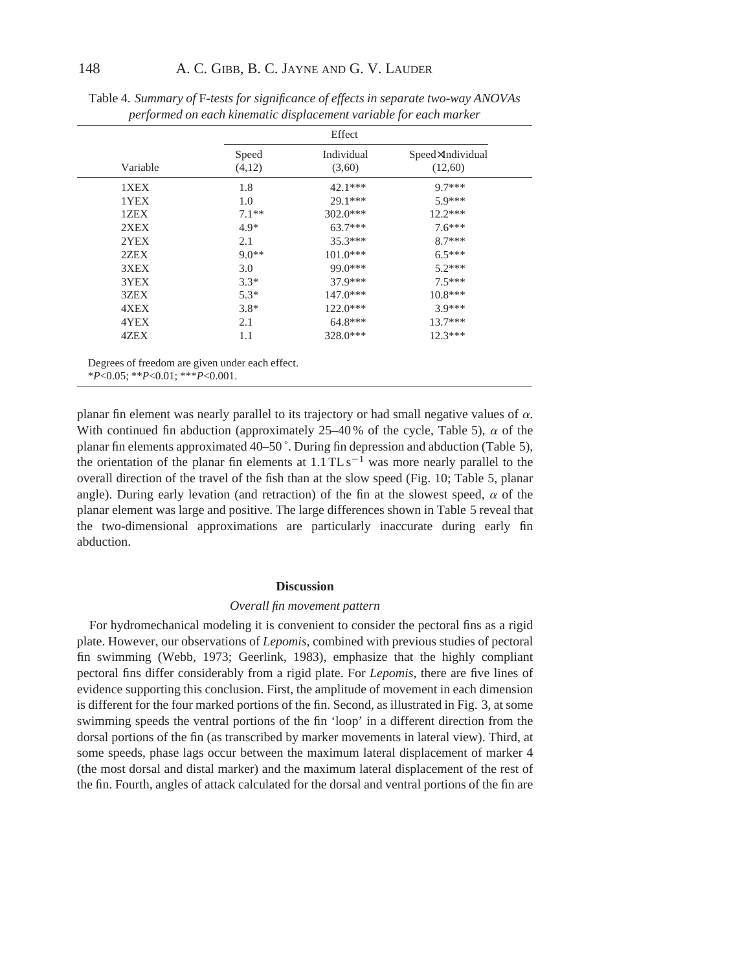|          |                 | Effect               |                             |
|----------|-----------------|----------------------|-----------------------------|
| Variable | Speed<br>(4,12) | Individual<br>(3,60) | Speed×Individual<br>(12,60) |
| 1XEX     | 1.8             | $42.1***$            | $9.7***$                    |
| 1YEX     | 1.0             | $29.1***$            | $5.9***$                    |
| 1ZEX     | $7.1**$         | $302.0***$           | $12.2***$                   |
| 2XEX     | $4.9*$          | $63.7***$            | $7.6***$                    |
| 2YEX     | 2.1             | $35.3***$            | $8.7***$                    |
| 2ZEX     | $9.0**$         | $101.0***$           | $6.5***$                    |
| 3XEX     | 3.0             | $99.0***$            | $5.2***$                    |
| 3YEX     | $3.3*$          | 37.9***              | $7.5***$                    |
| 3ZEX     | $5.3*$          | $147.0***$           | $10.8***$                   |
| 4XEX     | $3.8*$          | $122.0***$           | 3.9***                      |
| 4YEX     | 2.1             | $64.8***$            | $13.7***$                   |
| 4ZEX     | 1.1             | 328.0***             | $12.3***$                   |

Table 4. *Summary of* F*-tests for significance of effects in separate two-way ANOVAs performed on each kinematic displacement variable for each marker*

planar fin element was nearly parallel to its trajectory or had small negative values of  $\alpha$ . With continued fin abduction (approximately 25–40% of the cycle, Table 5),  $\alpha$  of the planar fin elements approximated 40–50 ˚. During fin depression and abduction (Table 5), the orientation of the planar fin elements at  $1.1$  TL s<sup>-1</sup> was more nearly parallel to the overall direction of the travel of the fish than at the slow speed (Fig. 10; Table 5, planar angle). During early levation (and retraction) of the fin at the slowest speed,  $\alpha$  of the planar element was large and positive. The large differences shown in Table 5 reveal that the two-dimensional approximations are particularly inaccurate during early fin abduction.

### **Discussion**

#### *Overall fin movement pattern*

For hydromechanical modeling it is convenient to consider the pectoral fins as a rigid plate. However, our observations of *Lepomis*, combined with previous studies of pectoral fin swimming (Webb, 1973; Geerlink, 1983), emphasize that the highly compliant pectoral fins differ considerably from a rigid plate. For *Lepomis,* there are five lines of evidence supporting this conclusion. First, the amplitude of movement in each dimension is different for the four marked portions of the fin. Second, as illustrated in Fig. 3, at some swimming speeds the ventral portions of the fin 'loop' in a different direction from the dorsal portions of the fin (as transcribed by marker movements in lateral view). Third, at some speeds, phase lags occur between the maximum lateral displacement of marker 4 (the most dorsal and distal marker) and the maximum lateral displacement of the rest of the fin. Fourth, angles of attack calculated for the dorsal and ventral portions of the fin are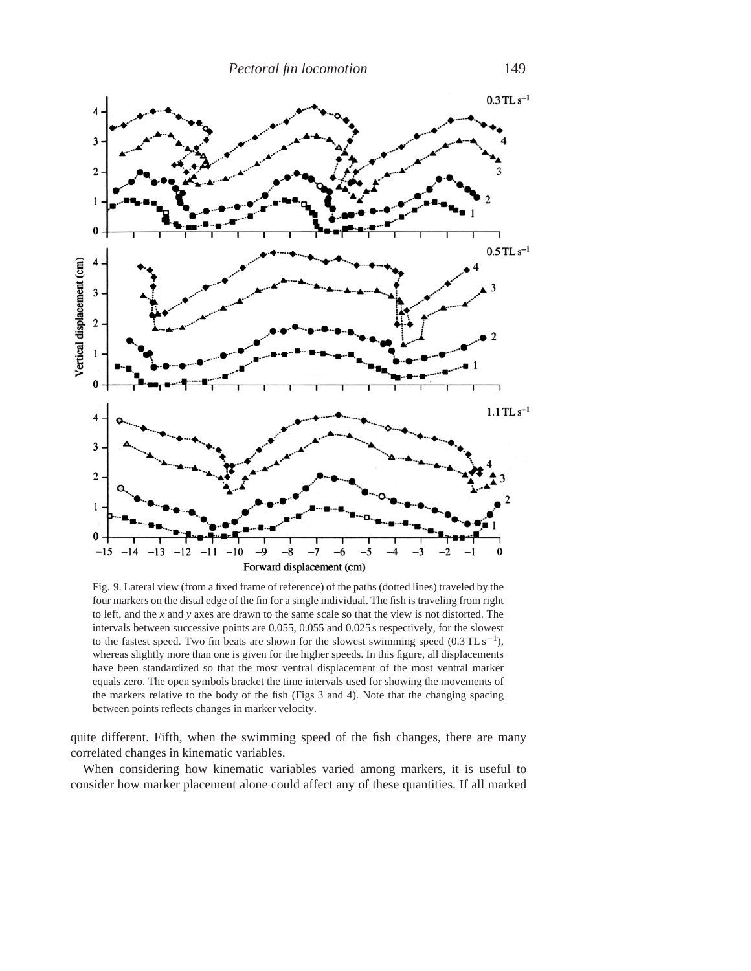

Fig. 9. Lateral view (from a fixed frame of reference) of the paths (dotted lines) traveled by the four markers on the distal edge of the fin for a single individual. The fish is traveling from right to left, and the *x* and *y* axes are drawn to the same scale so that the view is not distorted. The intervals between successive points are 0.055, 0.055 and 0.025 s respectively, for the slowest to the fastest speed. Two fin beats are shown for the slowest swimming speed  $(0.3 \text{TL s}^{-1})$ , whereas slightly more than one is given for the higher speeds. In this figure, all displacements have been standardized so that the most ventral displacement of the most ventral marker equals zero. The open symbols bracket the time intervals used for showing the movements of the markers relative to the body of the fish (Figs 3 and 4). Note that the changing spacing between points reflects changes in marker velocity.

quite different. Fifth, when the swimming speed of the fish changes, there are many correlated changes in kinematic variables.

When considering how kinematic variables varied among markers, it is useful to consider how marker placement alone could affect any of these quantities. If all marked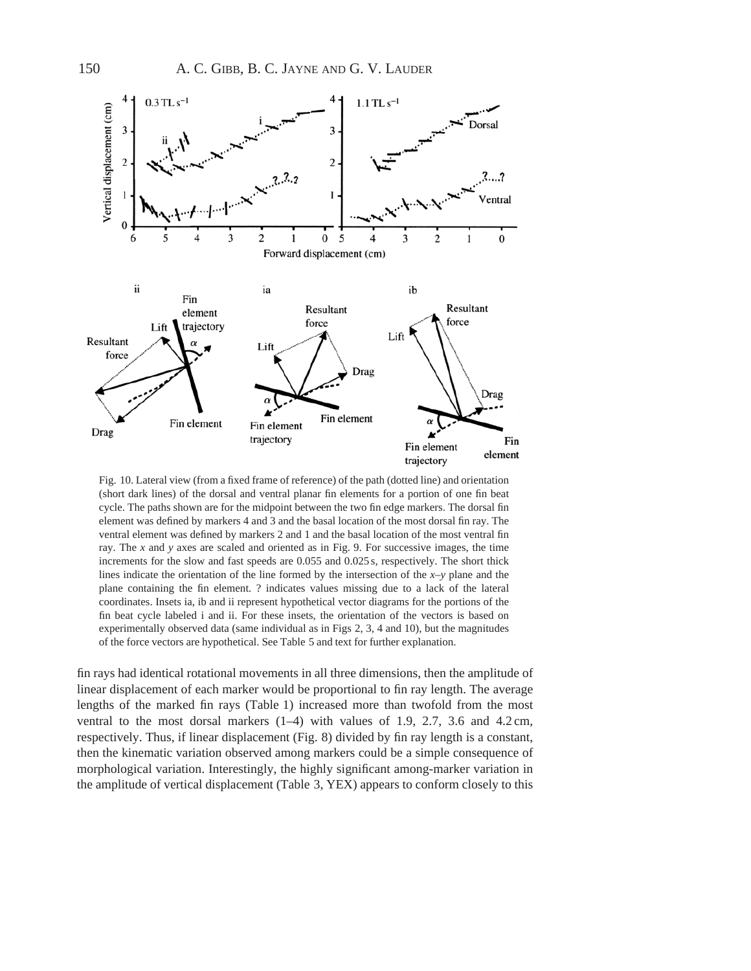

Fig. 10. Lateral view (from a fixed frame of reference) of the path (dotted line) and orientation (short dark lines) of the dorsal and ventral planar fin elements for a portion of one fin beat cycle. The paths shown are for the midpoint between the two fin edge markers. The dorsal fin element was defined by markers 4 and 3 and the basal location of the most dorsal fin ray. The ventral element was defined by markers 2 and 1 and the basal location of the most ventral fin ray. The *x* and *y* axes are scaled and oriented as in Fig. 9. For successive images, the time increments for the slow and fast speeds are 0.055 and 0.025 s, respectively. The short thick lines indicate the orientation of the line formed by the intersection of the *x*–*y* plane and the plane containing the fin element. ? indicates values missing due to a lack of the lateral coordinates. Insets ia, ib and ii represent hypothetical vector diagrams for the portions of the fin beat cycle labeled i and ii. For these insets, the orientation of the vectors is based on experimentally observed data (same individual as in Figs 2, 3, 4 and 10), but the magnitudes of the force vectors are hypothetical. See Table 5 and text for further explanation.

fin rays had identical rotational movements in all three dimensions, then the amplitude of linear displacement of each marker would be proportional to fin ray length. The average lengths of the marked fin rays (Table 1) increased more than twofold from the most ventral to the most dorsal markers  $(1-4)$  with values of 1.9, 2.7, 3.6 and 4.2 cm, respectively. Thus, if linear displacement (Fig. 8) divided by fin ray length is a constant, then the kinematic variation observed among markers could be a simple consequence of morphological variation. Interestingly, the highly significant among-marker variation in the amplitude of vertical displacement (Table 3, YEX) appears to conform closely to this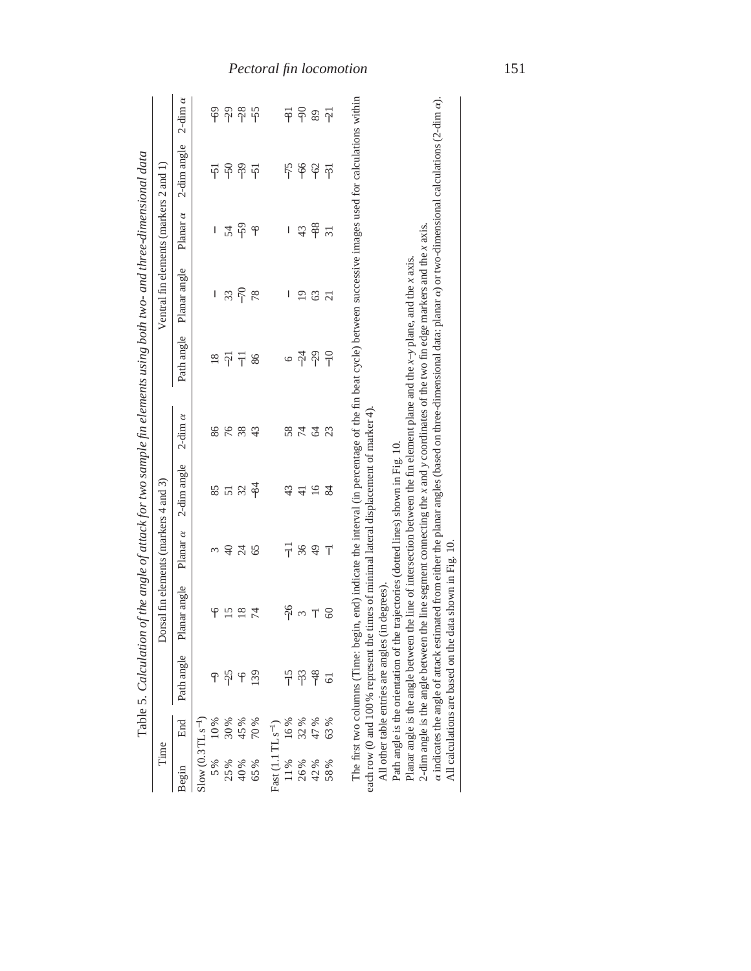|                                 |     |            | Table 5. Calculation of the angle of attack for two sample fin elements using both two- and three-dimensional data                                                                                                                                     |                 |                 |                |                          |                                        |                 |             |                |
|---------------------------------|-----|------------|--------------------------------------------------------------------------------------------------------------------------------------------------------------------------------------------------------------------------------------------------------|-----------------|-----------------|----------------|--------------------------|----------------------------------------|-----------------|-------------|----------------|
| Time                            |     |            | Dorsal fin elements (markers $4$ and 3)                                                                                                                                                                                                                |                 |                 |                |                          | Ventral fin elements (markers 2 and 1) |                 |             |                |
| Begin                           | End | Path angle | Planar angle                                                                                                                                                                                                                                           | Planar $\alpha$ | 2-dim angle     | 2-dim $\alpha$ | Path angle               | Planar angle                           | Planar $\alpha$ | 2-dim angle | 2-dim $\alpha$ |
| $Slow (0.3 TL s-1)$             |     |            |                                                                                                                                                                                                                                                        |                 |                 |                |                          |                                        |                 |             |                |
| 5%                              | 10% |            | $\overline{6}$                                                                                                                                                                                                                                         | 3               | 85              | 86             | $\frac{8}{18}$           | $\mid$                                 | $\mid$          | $-51$       | $-69$          |
| 25%                             | 30% | $-25$      | 15                                                                                                                                                                                                                                                     | $\sqrt{4}$      | $\overline{5}1$ | 76             | $-21$                    | 33                                     | 54              | $-50$       | $-29$          |
| 40%                             | 45% | ۴          | 18                                                                                                                                                                                                                                                     | $\overline{c}$  | 32              | 38             | $\overline{\phantom{a}}$ | $-70$                                  | $-59$           | $-39$       | $-28$          |
| 65%                             | 70% | 139        | $\overline{7}$                                                                                                                                                                                                                                         | 65              | $-84$           | 43             | 86                       | 78                                     | $-8$            | $-51$       | $-55$          |
| Fast $(1.1 \text{ TL } s^{-1})$ |     |            |                                                                                                                                                                                                                                                        |                 |                 |                |                          |                                        |                 |             |                |
| 11%                             | 16% |            | $-26$                                                                                                                                                                                                                                                  | 류               | 43              | 58             |                          | L                                      | I               | $-75$       | $\overline{8}$ |
| 26%                             | 32% | $-33$      | $\infty$                                                                                                                                                                                                                                               | 36              | $\frac{1}{4}$   | $\overline{7}$ | $-24$                    | $\overline{19}$                        | 43              | $-66$       | $-90$          |
| 42%                             | 47% | $-48$      | $\overline{1}$                                                                                                                                                                                                                                         | $\overline{49}$ | 16              | $\mathcal{L}$  | $-29$                    | 63                                     | $-88$           | $-62$       | 89             |
| 58%                             | 63% | 61         | 60                                                                                                                                                                                                                                                     | $\overline{1}$  | 84              | 23             | $\frac{1}{1}$            | $\overline{21}$                        | $\overline{31}$ | $-31$       | $-21$          |
|                                 |     |            | The first two columns (Time: begin, end) indicate the interval (in percentage of the fin beat cycle) between successive images used for calculations within<br>each row (0 and 100 % represent the times of minimal lateral displacement of marker 4). |                 |                 |                |                          |                                        |                 |             |                |
|                                 |     |            | Path angle is the orientation of the trajectories (dotted lines) shown in Fig. 10.<br>All other table entries are angles (in degrees).                                                                                                                 |                 |                 |                |                          |                                        |                 |             |                |
|                                 |     |            | Planar angle is the angle between the line of intersection between the fin element plane and the $x \rightarrow y$ plane, and the x axis.                                                                                                              |                 |                 |                |                          |                                        |                 |             |                |
|                                 |     |            | 2-dim angle is the angle between the line segment connecting the $x$ and $y$ coordinates of the two fin edge markers and the $x$ axis.                                                                                                                 |                 |                 |                |                          |                                        |                 |             |                |
|                                 |     |            | $\alpha$ indicates the angle of attack estimated from either the planar angles (based on three-dimensional data: planar $\alpha$ ) or two-dimensional calculations (2-dim $\alpha$ ).                                                                  |                 |                 |                |                          |                                        |                 |             |                |
|                                 |     |            | All calculations are based on the data shown in Fig. 10.                                                                                                                                                                                               |                 |                 |                |                          |                                        |                 |             |                |

# *Pectoral fin locomotion* 151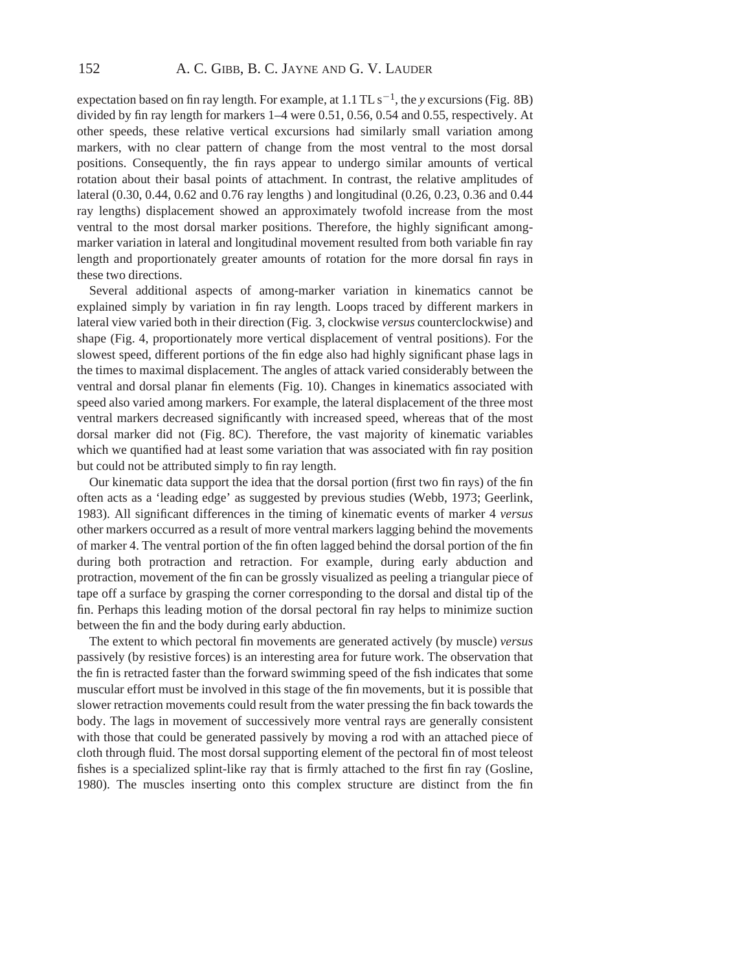expectation based on fin ray length. For example, at  $1.1$  TL s<sup>-1</sup>, the *y* excursions (Fig. 8B) divided by fin ray length for markers 1–4 were 0.51, 0.56, 0.54 and 0.55, respectively. At other speeds, these relative vertical excursions had similarly small variation among markers, with no clear pattern of change from the most ventral to the most dorsal positions. Consequently, the fin rays appear to undergo similar amounts of vertical rotation about their basal points of attachment. In contrast, the relative amplitudes of lateral (0.30, 0.44, 0.62 and 0.76 ray lengths ) and longitudinal (0.26, 0.23, 0.36 and 0.44 ray lengths) displacement showed an approximately twofold increase from the most ventral to the most dorsal marker positions. Therefore, the highly significant amongmarker variation in lateral and longitudinal movement resulted from both variable fin ray length and proportionately greater amounts of rotation for the more dorsal fin rays in these two directions.

Several additional aspects of among-marker variation in kinematics cannot be explained simply by variation in fin ray length. Loops traced by different markers in lateral view varied both in their direction (Fig. 3, clockwise *versus* counterclockwise) and shape (Fig. 4, proportionately more vertical displacement of ventral positions). For the slowest speed, different portions of the fin edge also had highly significant phase lags in the times to maximal displacement. The angles of attack varied considerably between the ventral and dorsal planar fin elements (Fig. 10). Changes in kinematics associated with speed also varied among markers. For example, the lateral displacement of the three most ventral markers decreased significantly with increased speed, whereas that of the most dorsal marker did not (Fig. 8C). Therefore, the vast majority of kinematic variables which we quantified had at least some variation that was associated with fin ray position but could not be attributed simply to fin ray length.

Our kinematic data support the idea that the dorsal portion (first two fin rays) of the fin often acts as a 'leading edge' as suggested by previous studies (Webb, 1973; Geerlink, 1983). All significant differences in the timing of kinematic events of marker 4 *versus* other markers occurred as a result of more ventral markers lagging behind the movements of marker 4. The ventral portion of the fin often lagged behind the dorsal portion of the fin during both protraction and retraction. For example, during early abduction and protraction, movement of the fin can be grossly visualized as peeling a triangular piece of tape off a surface by grasping the corner corresponding to the dorsal and distal tip of the fin. Perhaps this leading motion of the dorsal pectoral fin ray helps to minimize suction between the fin and the body during early abduction.

The extent to which pectoral fin movements are generated actively (by muscle) *versus* passively (by resistive forces) is an interesting area for future work. The observation that the fin is retracted faster than the forward swimming speed of the fish indicates that some muscular effort must be involved in this stage of the fin movements, but it is possible that slower retraction movements could result from the water pressing the fin back towards the body. The lags in movement of successively more ventral rays are generally consistent with those that could be generated passively by moving a rod with an attached piece of cloth through fluid. The most dorsal supporting element of the pectoral fin of most teleost fishes is a specialized splint-like ray that is firmly attached to the first fin ray (Gosline, 1980). The muscles inserting onto this complex structure are distinct from the fin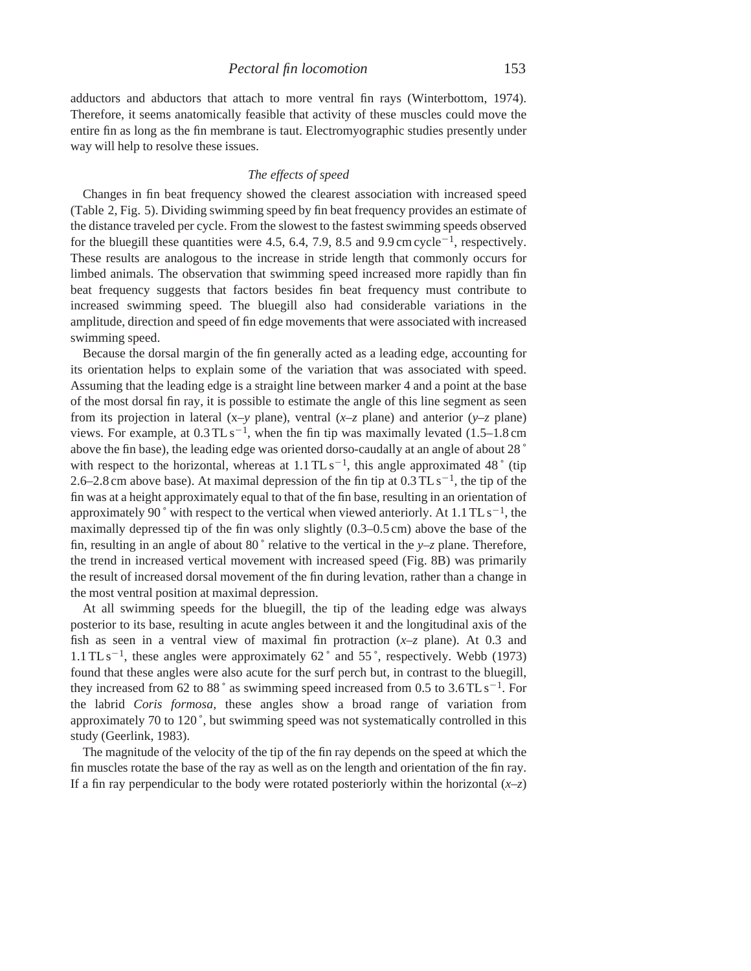adductors and abductors that attach to more ventral fin rays (Winterbottom, 1974). Therefore, it seems anatomically feasible that activity of these muscles could move the entire fin as long as the fin membrane is taut. Electromyographic studies presently under way will help to resolve these issues.

## *The effects of speed*

Changes in fin beat frequency showed the clearest association with increased speed (Table 2, Fig. 5). Dividing swimming speed by fin beat frequency provides an estimate of the distance traveled per cycle. From the slowest to the fastest swimming speeds observed for the bluegill these quantities were 4.5, 6.4, 7.9, 8.5 and 9.9 cm cycle<sup> $-1$ </sup>, respectively. These results are analogous to the increase in stride length that commonly occurs for limbed animals. The observation that swimming speed increased more rapidly than fin beat frequency suggests that factors besides fin beat frequency must contribute to increased swimming speed. The bluegill also had considerable variations in the amplitude, direction and speed of fin edge movements that were associated with increased swimming speed.

Because the dorsal margin of the fin generally acted as a leading edge, accounting for its orientation helps to explain some of the variation that was associated with speed. Assuming that the leading edge is a straight line between marker 4 and a point at the base of the most dorsal fin ray, it is possible to estimate the angle of this line segment as seen from its projection in lateral (x–*y* plane), ventral (*x*–*z* plane) and anterior (*y*–*z* plane) views. For example, at  $0.3$  TL s<sup>-1</sup>, when the fin tip was maximally levated (1.5–1.8 cm above the fin base), the leading edge was oriented dorso-caudally at an angle of about 28 ˚ with respect to the horizontal, whereas at  $1.1 \text{TLs}^{-1}$ , this angle approximated 48 $\degree$  (tip 2.6–2.8 cm above base). At maximal depression of the fin tip at  $0.3$  TL s<sup>-1</sup>, the tip of the fin was at a height approximately equal to that of the fin base, resulting in an orientation of approximately 90 $\degree$  with respect to the vertical when viewed anteriorly. At 1.1 TL s<sup>-1</sup>, the maximally depressed tip of the fin was only slightly (0.3–0.5 cm) above the base of the fin, resulting in an angle of about 80 $\degree$  relative to the vertical in the *y*–*z* plane. Therefore, the trend in increased vertical movement with increased speed (Fig. 8B) was primarily the result of increased dorsal movement of the fin during levation, rather than a change in the most ventral position at maximal depression.

At all swimming speeds for the bluegill, the tip of the leading edge was always posterior to its base, resulting in acute angles between it and the longitudinal axis of the fish as seen in a ventral view of maximal fin protraction (*x*–*z* plane). At 0.3 and 1.1 TL s<sup> $-1$ </sup>, these angles were approximately 62 $\degree$  and 55 $\degree$ , respectively. Webb (1973) found that these angles were also acute for the surf perch but, in contrast to the bluegill, they increased from 62 to 88° as swimming speed increased from 0.5 to 3.6 TL s<sup>-1</sup>. For the labrid *Coris formosa,* these angles show a broad range of variation from approximately 70 to 120 ˚, but swimming speed was not systematically controlled in this study (Geerlink, 1983).

The magnitude of the velocity of the tip of the fin ray depends on the speed at which the fin muscles rotate the base of the ray as well as on the length and orientation of the fin ray. If a fin ray perpendicular to the body were rotated posteriorly within the horizontal  $(x-z)$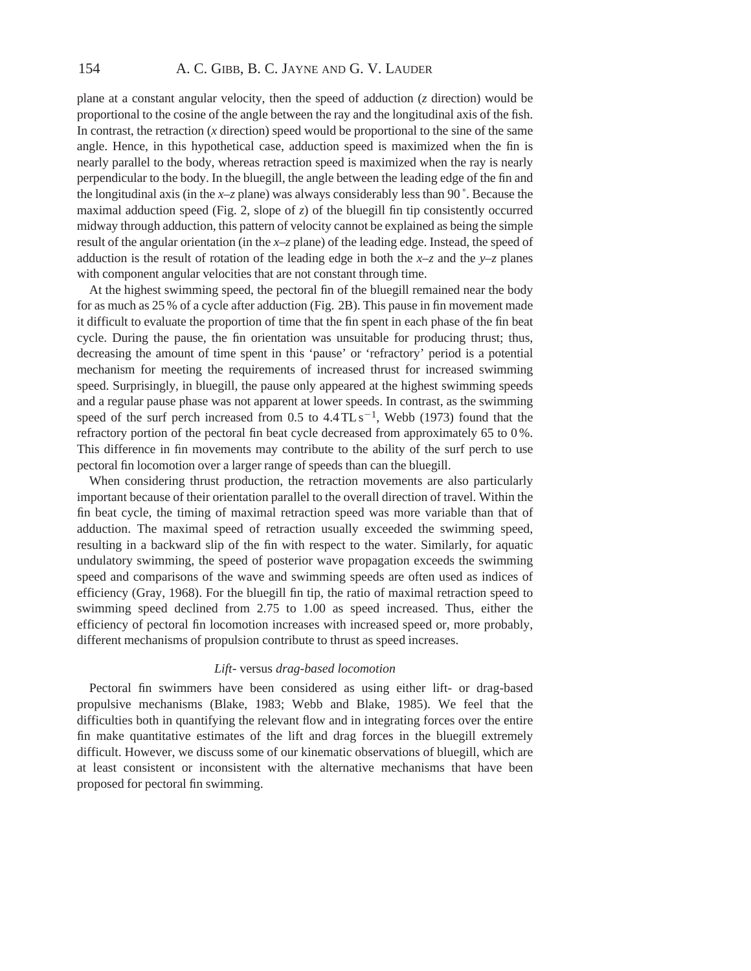plane at a constant angular velocity, then the speed of adduction (*z* direction) would be proportional to the cosine of the angle between the ray and the longitudinal axis of the fish. In contrast, the retraction (*x* direction) speed would be proportional to the sine of the same angle. Hence, in this hypothetical case, adduction speed is maximized when the fin is nearly parallel to the body, whereas retraction speed is maximized when the ray is nearly perpendicular to the body. In the bluegill, the angle between the leading edge of the fin and the longitudinal axis (in the  $x-z$  plane) was always considerably less than 90 $\degree$ . Because the maximal adduction speed (Fig. 2, slope of *z*) of the bluegill fin tip consistently occurred midway through adduction, this pattern of velocity cannot be explained as being the simple result of the angular orientation (in the *x*–*z* plane) of the leading edge. Instead, the speed of adduction is the result of rotation of the leading edge in both the  $x-z$  and the  $y-z$  planes with component angular velocities that are not constant through time.

At the highest swimming speed, the pectoral fin of the bluegill remained near the body for as much as 25 % of a cycle after adduction (Fig. 2B). This pause in fin movement made it difficult to evaluate the proportion of time that the fin spent in each phase of the fin beat cycle. During the pause, the fin orientation was unsuitable for producing thrust; thus, decreasing the amount of time spent in this 'pause' or 'refractory' period is a potential mechanism for meeting the requirements of increased thrust for increased swimming speed. Surprisingly, in bluegill, the pause only appeared at the highest swimming speeds and a regular pause phase was not apparent at lower speeds. In contrast, as the swimming speed of the surf perch increased from  $0.5$  to  $4.4 \text{ TL s}^{-1}$ , Webb (1973) found that the refractory portion of the pectoral fin beat cycle decreased from approximately 65 to 0 %. This difference in fin movements may contribute to the ability of the surf perch to use pectoral fin locomotion over a larger range of speeds than can the bluegill.

When considering thrust production, the retraction movements are also particularly important because of their orientation parallel to the overall direction of travel. Within the fin beat cycle, the timing of maximal retraction speed was more variable than that of adduction. The maximal speed of retraction usually exceeded the swimming speed, resulting in a backward slip of the fin with respect to the water. Similarly, for aquatic undulatory swimming, the speed of posterior wave propagation exceeds the swimming speed and comparisons of the wave and swimming speeds are often used as indices of efficiency (Gray, 1968). For the bluegill fin tip, the ratio of maximal retraction speed to swimming speed declined from 2.75 to 1.00 as speed increased. Thus, either the efficiency of pectoral fin locomotion increases with increased speed or, more probably, different mechanisms of propulsion contribute to thrust as speed increases.

### *Lift-* versus *drag-based locomotion*

Pectoral fin swimmers have been considered as using either lift- or drag-based propulsive mechanisms (Blake, 1983; Webb and Blake, 1985). We feel that the difficulties both in quantifying the relevant flow and in integrating forces over the entire fin make quantitative estimates of the lift and drag forces in the bluegill extremely difficult. However, we discuss some of our kinematic observations of bluegill, which are at least consistent or inconsistent with the alternative mechanisms that have been proposed for pectoral fin swimming.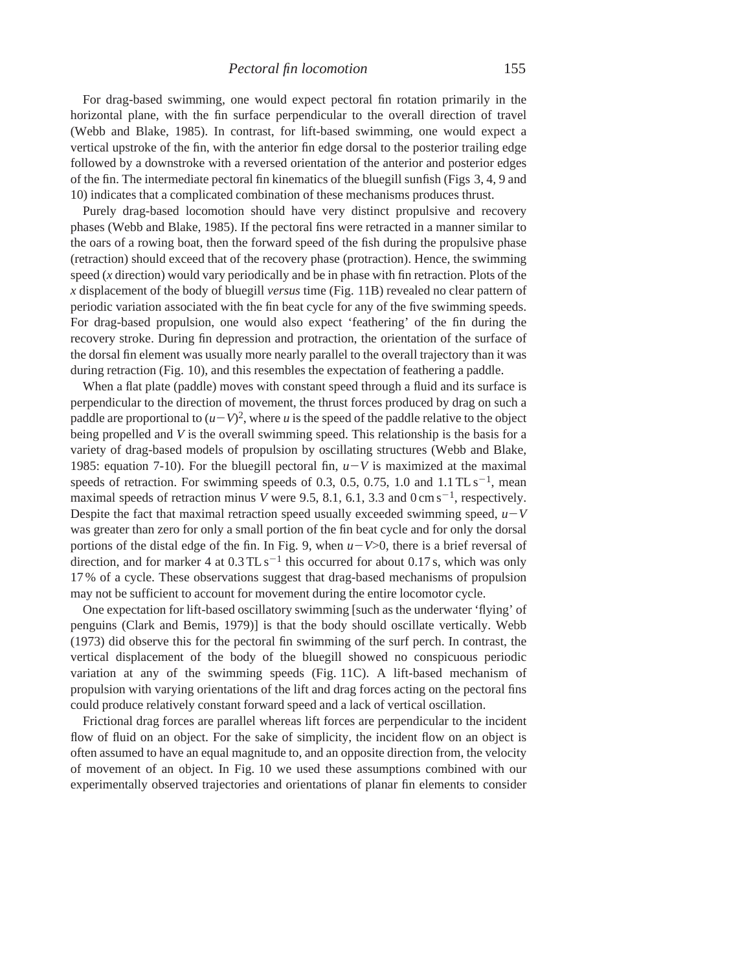For drag-based swimming, one would expect pectoral fin rotation primarily in the horizontal plane, with the fin surface perpendicular to the overall direction of travel (Webb and Blake, 1985). In contrast, for lift-based swimming, one would expect a vertical upstroke of the fin, with the anterior fin edge dorsal to the posterior trailing edge followed by a downstroke with a reversed orientation of the anterior and posterior edges of the fin. The intermediate pectoral fin kinematics of the bluegill sunfish (Figs 3, 4, 9 and 10) indicates that a complicated combination of these mechanisms produces thrust.

Purely drag-based locomotion should have very distinct propulsive and recovery phases (Webb and Blake, 1985). If the pectoral fins were retracted in a manner similar to the oars of a rowing boat, then the forward speed of the fish during the propulsive phase (retraction) should exceed that of the recovery phase (protraction). Hence, the swimming speed (*x* direction) would vary periodically and be in phase with fin retraction. Plots of the *x* displacement of the body of bluegill *versus* time (Fig. 11B) revealed no clear pattern of periodic variation associated with the fin beat cycle for any of the five swimming speeds. For drag-based propulsion, one would also expect 'feathering' of the fin during the recovery stroke. During fin depression and protraction, the orientation of the surface of the dorsal fin element was usually more nearly parallel to the overall trajectory than it was during retraction (Fig. 10), and this resembles the expectation of feathering a paddle.

When a flat plate (paddle) moves with constant speed through a fluid and its surface is perpendicular to the direction of movement, the thrust forces produced by drag on such a paddle are proportional to  $(u-V)^2$ , where *u* is the speed of the paddle relative to the object being propelled and *V* is the overall swimming speed. This relationship is the basis for a variety of drag-based models of propulsion by oscillating structures (Webb and Blake, 1985: equation 7-10). For the bluegill pectoral fin,  $u-V$  is maximized at the maximal speeds of retraction. For swimming speeds of 0.3, 0.5, 0.75, 1.0 and  $1.1$  TL s<sup>-1</sup>, mean maximal speeds of retraction minus *V* were 9.5, 8.1, 6.1, 3.3 and 0 cm s<sup>-1</sup>, respectively. Despite the fact that maximal retraction speed usually exceeded swimming speed,  $u-V$ was greater than zero for only a small portion of the fin beat cycle and for only the dorsal portions of the distal edge of the fin. In Fig. 9, when  $u-V>0$ , there is a brief reversal of direction, and for marker 4 at  $0.3$  TL s<sup>-1</sup> this occurred for about 0.17 s, which was only 17 % of a cycle. These observations suggest that drag-based mechanisms of propulsion may not be sufficient to account for movement during the entire locomotor cycle.

One expectation for lift-based oscillatory swimming [such as the underwater 'flying' of penguins (Clark and Bemis, 1979)] is that the body should oscillate vertically. Webb (1973) did observe this for the pectoral fin swimming of the surf perch. In contrast, the vertical displacement of the body of the bluegill showed no conspicuous periodic variation at any of the swimming speeds (Fig. 11C). A lift-based mechanism of propulsion with varying orientations of the lift and drag forces acting on the pectoral fins could produce relatively constant forward speed and a lack of vertical oscillation.

Frictional drag forces are parallel whereas lift forces are perpendicular to the incident flow of fluid on an object. For the sake of simplicity, the incident flow on an object is often assumed to have an equal magnitude to, and an opposite direction from, the velocity of movement of an object. In Fig. 10 we used these assumptions combined with our experimentally observed trajectories and orientations of planar fin elements to consider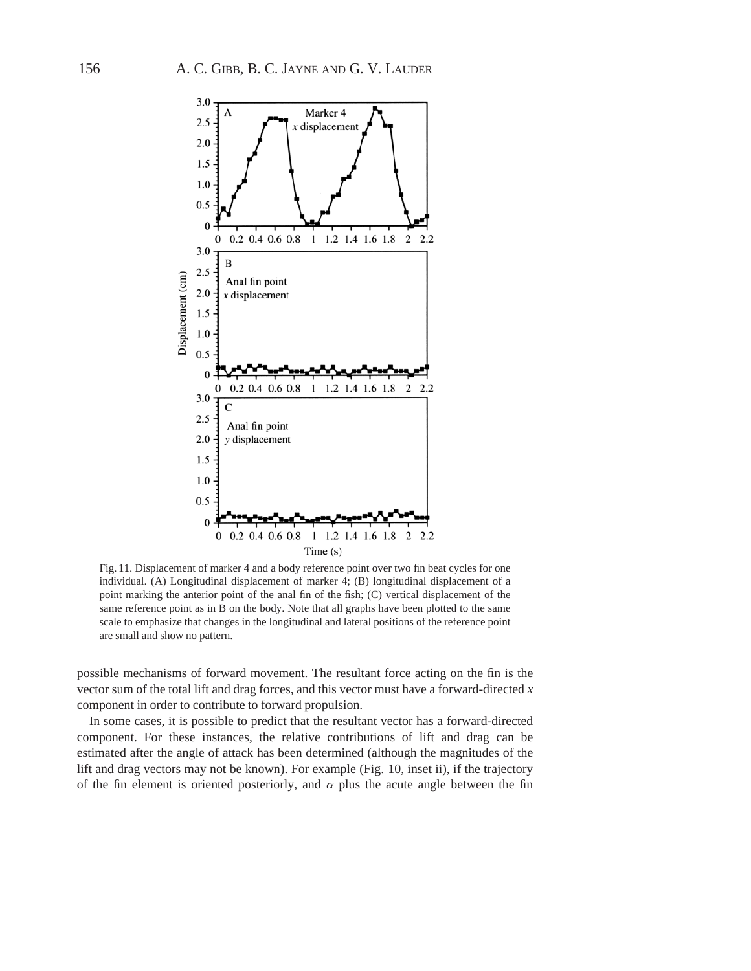

Fig. 11. Displacement of marker 4 and a body reference point over two fin beat cycles for one individual. (A) Longitudinal displacement of marker 4; (B) longitudinal displacement of a point marking the anterior point of the anal fin of the fish; (C) vertical displacement of the same reference point as in B on the body. Note that all graphs have been plotted to the same scale to emphasize that changes in the longitudinal and lateral positions of the reference point are small and show no pattern.

possible mechanisms of forward movement. The resultant force acting on the fin is the vector sum of the total lift and drag forces, and this vector must have a forward-directed *x* component in order to contribute to forward propulsion.

In some cases, it is possible to predict that the resultant vector has a forward-directed component. For these instances, the relative contributions of lift and drag can be estimated after the angle of attack has been determined (although the magnitudes of the lift and drag vectors may not be known). For example (Fig. 10, inset ii), if the trajectory of the fin element is oriented posteriorly, and  $\alpha$  plus the acute angle between the fin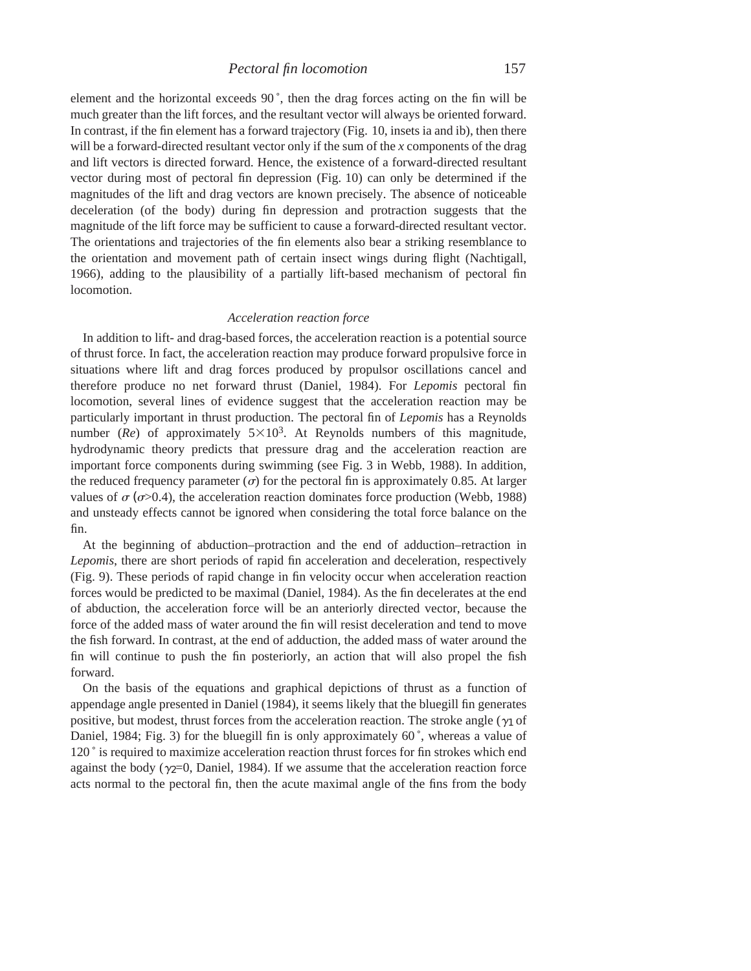element and the horizontal exceeds  $90^\circ$ , then the drag forces acting on the fin will be much greater than the lift forces, and the resultant vector will always be oriented forward. In contrast, if the fin element has a forward trajectory (Fig. 10, insets ia and ib), then there will be a forward-directed resultant vector only if the sum of the *x* components of the drag and lift vectors is directed forward. Hence, the existence of a forward-directed resultant vector during most of pectoral fin depression (Fig. 10) can only be determined if the magnitudes of the lift and drag vectors are known precisely. The absence of noticeable deceleration (of the body) during fin depression and protraction suggests that the magnitude of the lift force may be sufficient to cause a forward-directed resultant vector. The orientations and trajectories of the fin elements also bear a striking resemblance to the orientation and movement path of certain insect wings during flight (Nachtigall, 1966), adding to the plausibility of a partially lift-based mechanism of pectoral fin locomotion.

### *Acceleration reaction force*

In addition to lift- and drag-based forces, the acceleration reaction is a potential source of thrust force. In fact, the acceleration reaction may produce forward propulsive force in situations where lift and drag forces produced by propulsor oscillations cancel and therefore produce no net forward thrust (Daniel, 1984). For *Lepomis* pectoral fin locomotion, several lines of evidence suggest that the acceleration reaction may be particularly important in thrust production. The pectoral fin of *Lepomis* has a Reynolds number ( $Re$ ) of approximately  $5 \times 10^3$ . At Reynolds numbers of this magnitude, hydrodynamic theory predicts that pressure drag and the acceleration reaction are important force components during swimming (see Fig. 3 in Webb, 1988). In addition, the reduced frequency parameter  $(\sigma)$  for the pectoral fin is approximately 0.85. At larger values of  $\sigma$  ( $\sigma$ >0.4), the acceleration reaction dominates force production (Webb, 1988) and unsteady effects cannot be ignored when considering the total force balance on the fin.

At the beginning of abduction–protraction and the end of adduction–retraction in *Lepomis*, there are short periods of rapid fin acceleration and deceleration, respectively (Fig. 9). These periods of rapid change in fin velocity occur when acceleration reaction forces would be predicted to be maximal (Daniel, 1984). As the fin decelerates at the end of abduction, the acceleration force will be an anteriorly directed vector, because the force of the added mass of water around the fin will resist deceleration and tend to move the fish forward. In contrast, at the end of adduction, the added mass of water around the fin will continue to push the fin posteriorly, an action that will also propel the fish forward.

On the basis of the equations and graphical depictions of thrust as a function of appendage angle presented in Daniel (1984), it seems likely that the bluegill fin generates positive, but modest, thrust forces from the acceleration reaction. The stroke angle ( $\gamma_1$  of Daniel, 1984; Fig. 3) for the bluegill fin is only approximately  $60^\circ$ , whereas a value of 120 ˚ is required to maximize acceleration reaction thrust forces for fin strokes which end against the body ( $\gamma$ <sub>2</sub>=0, Daniel, 1984). If we assume that the acceleration reaction force acts normal to the pectoral fin, then the acute maximal angle of the fins from the body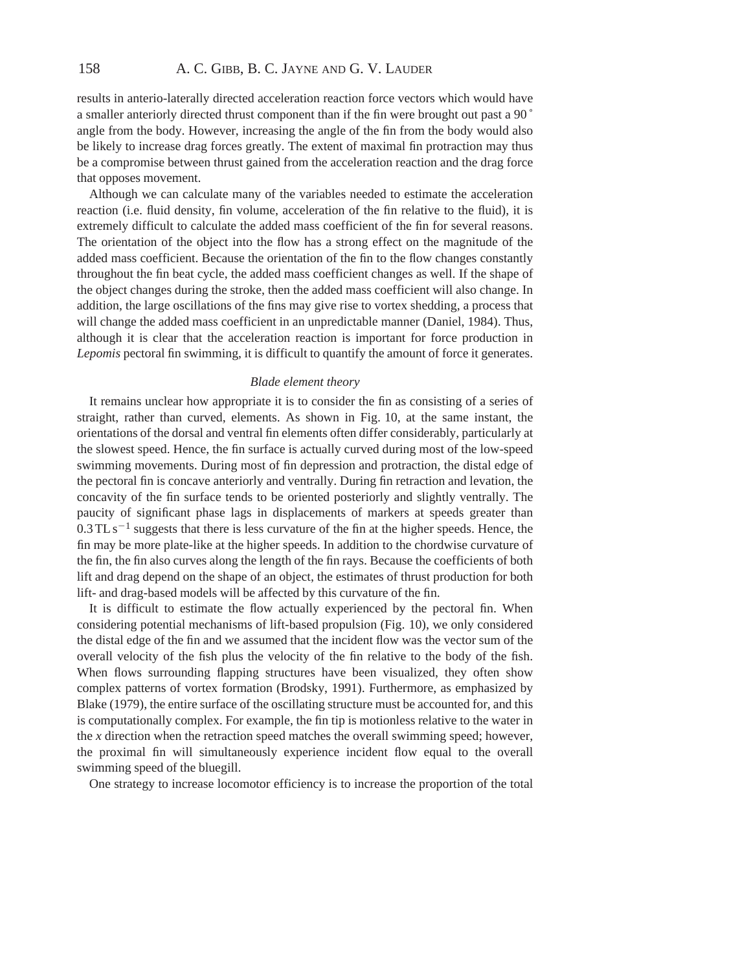results in anterio-laterally directed acceleration reaction force vectors which would have a smaller anteriorly directed thrust component than if the fin were brought out past a 90 ˚ angle from the body. However, increasing the angle of the fin from the body would also be likely to increase drag forces greatly. The extent of maximal fin protraction may thus be a compromise between thrust gained from the acceleration reaction and the drag force that opposes movement.

Although we can calculate many of the variables needed to estimate the acceleration reaction (i.e. fluid density, fin volume, acceleration of the fin relative to the fluid), it is extremely difficult to calculate the added mass coefficient of the fin for several reasons. The orientation of the object into the flow has a strong effect on the magnitude of the added mass coefficient. Because the orientation of the fin to the flow changes constantly throughout the fin beat cycle, the added mass coefficient changes as well. If the shape of the object changes during the stroke, then the added mass coefficient will also change. In addition, the large oscillations of the fins may give rise to vortex shedding, a process that will change the added mass coefficient in an unpredictable manner (Daniel, 1984). Thus, although it is clear that the acceleration reaction is important for force production in *Lepomis* pectoral fin swimming, it is difficult to quantify the amount of force it generates.

# *Blade element theory*

It remains unclear how appropriate it is to consider the fin as consisting of a series of straight, rather than curved, elements. As shown in Fig. 10, at the same instant, the orientations of the dorsal and ventral fin elements often differ considerably, particularly at the slowest speed. Hence, the fin surface is actually curved during most of the low-speed swimming movements. During most of fin depression and protraction, the distal edge of the pectoral fin is concave anteriorly and ventrally. During fin retraction and levation, the concavity of the fin surface tends to be oriented posteriorly and slightly ventrally. The paucity of significant phase lags in displacements of markers at speeds greater than  $0.3$  TL s<sup>-1</sup> suggests that there is less curvature of the fin at the higher speeds. Hence, the fin may be more plate-like at the higher speeds. In addition to the chordwise curvature of the fin, the fin also curves along the length of the fin rays. Because the coefficients of both lift and drag depend on the shape of an object, the estimates of thrust production for both lift- and drag-based models will be affected by this curvature of the fin.

It is difficult to estimate the flow actually experienced by the pectoral fin. When considering potential mechanisms of lift-based propulsion (Fig. 10), we only considered the distal edge of the fin and we assumed that the incident flow was the vector sum of the overall velocity of the fish plus the velocity of the fin relative to the body of the fish. When flows surrounding flapping structures have been visualized, they often show complex patterns of vortex formation (Brodsky, 1991). Furthermore, as emphasized by Blake (1979), the entire surface of the oscillating structure must be accounted for, and this is computationally complex. For example, the fin tip is motionless relative to the water in the *x* direction when the retraction speed matches the overall swimming speed; however, the proximal fin will simultaneously experience incident flow equal to the overall swimming speed of the bluegill.

One strategy to increase locomotor efficiency is to increase the proportion of the total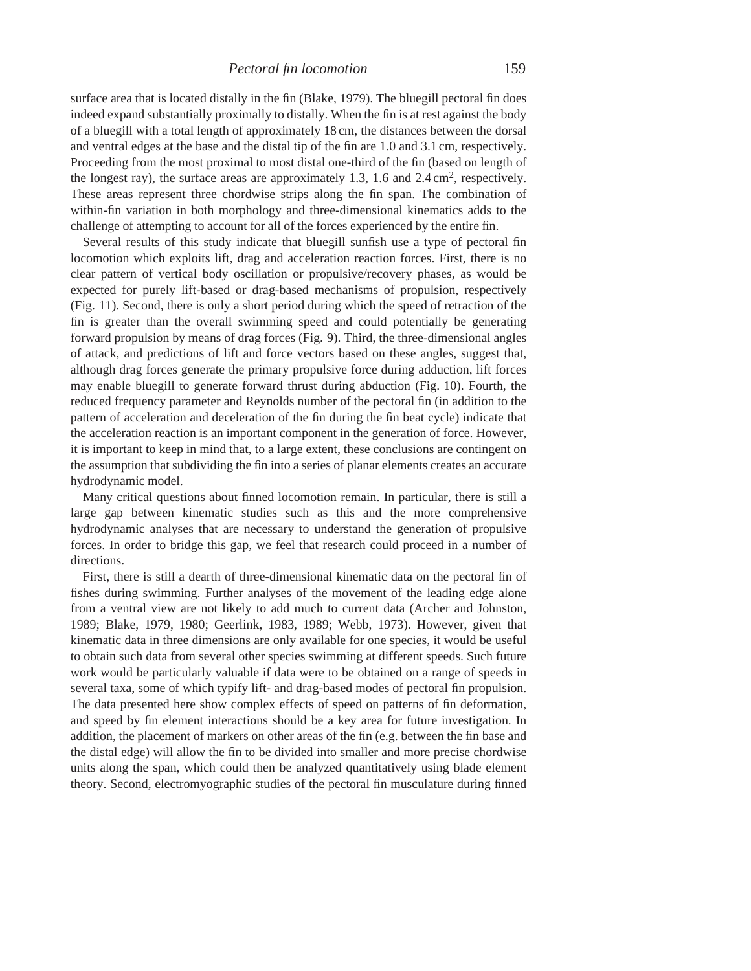surface area that is located distally in the fin (Blake, 1979). The bluegill pectoral fin does indeed expand substantially proximally to distally. When the fin is at rest against the body of a bluegill with a total length of approximately 18 cm, the distances between the dorsal and ventral edges at the base and the distal tip of the fin are 1.0 and 3.1 cm, respectively. Proceeding from the most proximal to most distal one-third of the fin (based on length of the longest ray), the surface areas are approximately 1.3, 1.6 and 2.4 cm<sup>2</sup>, respectively. These areas represent three chordwise strips along the fin span. The combination of within-fin variation in both morphology and three-dimensional kinematics adds to the challenge of attempting to account for all of the forces experienced by the entire fin.

Several results of this study indicate that bluegill sunfish use a type of pectoral fin locomotion which exploits lift, drag and acceleration reaction forces. First, there is no clear pattern of vertical body oscillation or propulsive/recovery phases, as would be expected for purely lift-based or drag-based mechanisms of propulsion, respectively (Fig. 11). Second, there is only a short period during which the speed of retraction of the fin is greater than the overall swimming speed and could potentially be generating forward propulsion by means of drag forces (Fig. 9). Third, the three-dimensional angles of attack, and predictions of lift and force vectors based on these angles, suggest that, although drag forces generate the primary propulsive force during adduction, lift forces may enable bluegill to generate forward thrust during abduction (Fig. 10). Fourth, the reduced frequency parameter and Reynolds number of the pectoral fin (in addition to the pattern of acceleration and deceleration of the fin during the fin beat cycle) indicate that the acceleration reaction is an important component in the generation of force. However, it is important to keep in mind that, to a large extent, these conclusions are contingent on the assumption that subdividing the fin into a series of planar elements creates an accurate hydrodynamic model.

Many critical questions about finned locomotion remain. In particular, there is still a large gap between kinematic studies such as this and the more comprehensive hydrodynamic analyses that are necessary to understand the generation of propulsive forces. In order to bridge this gap, we feel that research could proceed in a number of directions.

First, there is still a dearth of three-dimensional kinematic data on the pectoral fin of fishes during swimming. Further analyses of the movement of the leading edge alone from a ventral view are not likely to add much to current data (Archer and Johnston, 1989; Blake, 1979, 1980; Geerlink, 1983, 1989; Webb, 1973). However, given that kinematic data in three dimensions are only available for one species, it would be useful to obtain such data from several other species swimming at different speeds. Such future work would be particularly valuable if data were to be obtained on a range of speeds in several taxa, some of which typify lift- and drag-based modes of pectoral fin propulsion. The data presented here show complex effects of speed on patterns of fin deformation, and speed by fin element interactions should be a key area for future investigation. In addition, the placement of markers on other areas of the fin (e.g. between the fin base and the distal edge) will allow the fin to be divided into smaller and more precise chordwise units along the span, which could then be analyzed quantitatively using blade element theory. Second, electromyographic studies of the pectoral fin musculature during finned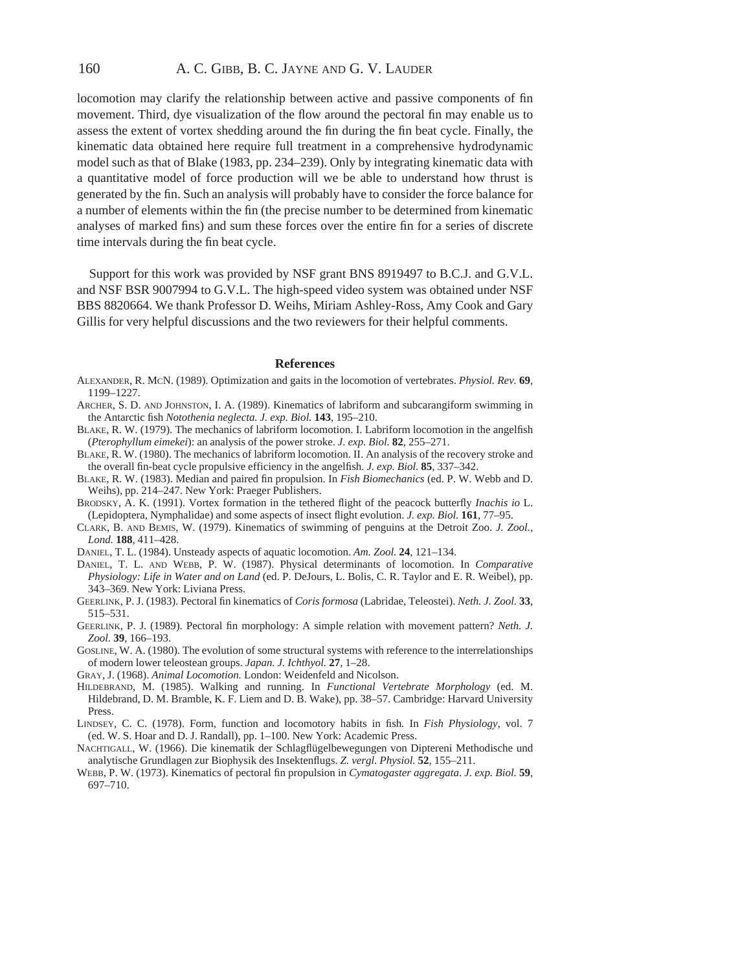# 160 A. C. GIBB, B. C. JAYNE AND G. V. LAUDER

locomotion may clarify the relationship between active and passive components of fin movement. Third, dye visualization of the flow around the pectoral fin may enable us to assess the extent of vortex shedding around the fin during the fin beat cycle. Finally, the kinematic data obtained here require full treatment in a comprehensive hydrodynamic model such as that of Blake (1983, pp. 234–239). Only by integrating kinematic data with a quantitative model of force production will we be able to understand how thrust is generated by the fin. Such an analysis will probably have to consider the force balance for a number of elements within the fin (the precise number to be determined from kinematic analyses of marked fins) and sum these forces over the entire fin for a series of discrete time intervals during the fin beat cycle.

Support for this work was provided by NSF grant BNS 8919497 to B.C.J. and G.V.L. and NSF BSR 9007994 to G.V.L. The high-speed video system was obtained under NSF BBS 8820664. We thank Professor D. Weihs, Miriam Ashley-Ross, Amy Cook and Gary Gillis for very helpful discussions and the two reviewers for their helpful comments.

### **References**

- ALEXANDER, R. MCN. (1989). Optimization and gaits in the locomotion of vertebrates. *Physiol. Rev.* **69**, 1199–1227.
- ARCHER, S. D. AND JOHNSTON, I. A. (1989). Kinematics of labriform and subcarangiform swimming in the Antarctic fish *Notothenia neglecta. J. exp. Biol.* **143**, 195–210.
- BLAKE, R. W. (1979). The mechanics of labriform locomotion. I. Labriform locomotion in the angelfish (*Pterophyllum eimekei*): an analysis of the power stroke. *J. exp. Biol.* **82**, 255–271.
- BLAKE, R. W. (1980). The mechanics of labriform locomotion. II. An analysis of the recovery stroke and the overall fin-beat cycle propulsive efficiency in the angelfish. *J. exp. Biol.* **85**, 337–342.
- BLAKE, R. W. (1983). Median and paired fin propulsion. In *Fish Biomechanics* (ed. P. W. Webb and D. Weihs), pp. 214–247. New York: Praeger Publishers.
- BRODSKY, A. K. (1991). Vortex formation in the tethered flight of the peacock butterfly *Inachis io* L. (Lepidoptera, Nymphalidae) and some aspects of insect flight evolution. *J. exp. Biol.* **161**, 77–95.
- CLARK, B. AND BEMIS, W. (1979). Kinematics of swimming of penguins at the Detroit Zoo. *J. Zool., Lond.* **188**, 411–428.
- DANIEL, T. L. (1984). Unsteady aspects of aquatic locomotion. *Am. Zool.* **24**, 121–134.
- DANIEL, T. L. AND WEBB, P. W. (1987). Physical determinants of locomotion. In *Comparative Physiology: Life in Water and on Land* (ed. P. DeJours, L. Bolis, C. R. Taylor and E. R. Weibel), pp. 343–369. New York: Liviana Press.
- GEERLINK, P. J. (1983). Pectoral fin kinematics of *Coris formosa* (Labridae, Teleostei). *Neth. J. Zool.* **33**, 515–531.
- GEERLINK, P. J. (1989). Pectoral fin morphology: A simple relation with movement pattern? *Neth. J. Zool.* **39**, 166–193.
- GOSLINE, W. A. (1980). The evolution of some structural systems with reference to the interrelationships of modern lower teleostean groups. *Japan. J. Ichthyol.* **27**, 1–28.
- GRAY, J. (1968). *Animal Locomotion.* London: Weidenfeld and Nicolson.
- HILDEBRAND, M. (1985). Walking and running. In *Functional Vertebrate Morphology* (ed. M. Hildebrand, D. M. Bramble, K. F. Liem and D. B. Wake), pp. 38–57. Cambridge: Harvard University Press.
- LINDSEY, C. C. (1978). Form, function and locomotory habits in fish*.* In *Fish Physiology*, vol. 7 (ed. W. S. Hoar and D. J. Randall), pp. 1–100. New York: Academic Press.
- NACHTIGALL, W. (1966). Die kinematik der Schlagflügelbewegungen von Diptereni Methodische und analytische Grundlagen zur Biophysik des Insektenflugs. *Z. vergl. Physiol.* **52**, 155–211.
- WEBB, P. W. (1973). Kinematics of pectoral fin propulsion in *Cymatogaster aggregata*. *J. exp. Biol.* **59**, 697–710.